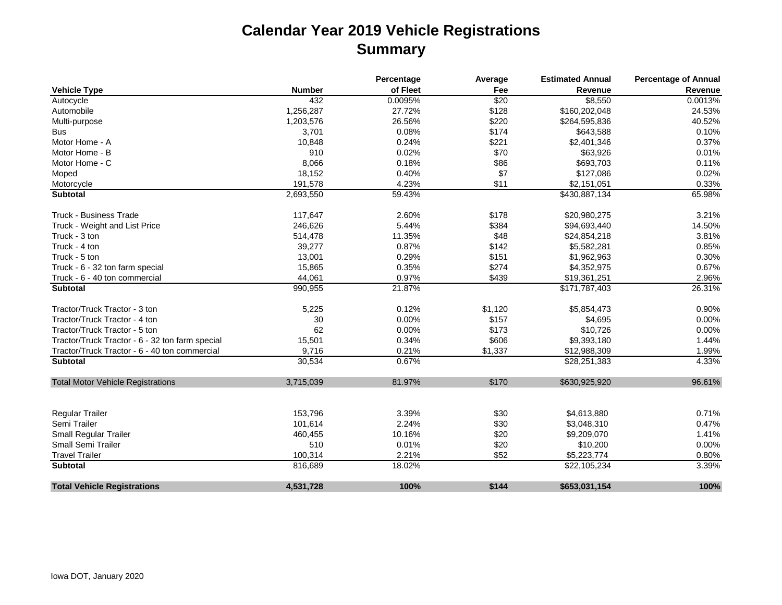## **Calendar Year 2019 Vehicle Registrations Summary**

|                                                 |               | Percentage | Average | <b>Estimated Annual</b> | <b>Percentage of Annual</b> |
|-------------------------------------------------|---------------|------------|---------|-------------------------|-----------------------------|
| <b>Vehicle Type</b>                             | <b>Number</b> | of Fleet   | Fee     | Revenue                 | Revenue                     |
| Autocycle                                       | 432           | 0.0095%    | \$20    | \$8,550                 | 0.0013%                     |
| Automobile                                      | 1,256,287     | 27.72%     | \$128   | \$160,202,048           | 24.53%                      |
| Multi-purpose                                   | 1,203,576     | 26.56%     | \$220   | \$264,595,836           | 40.52%                      |
| <b>Bus</b>                                      | 3,701         | 0.08%      | \$174   | \$643,588               | 0.10%                       |
| Motor Home - A                                  | 10,848        | 0.24%      | \$221   | \$2,401,346             | 0.37%                       |
| Motor Home - B                                  | 910           | 0.02%      | \$70    | \$63,926                | 0.01%                       |
| Motor Home - C                                  | 8,066         | 0.18%      | \$86    | \$693,703               | 0.11%                       |
| Moped                                           | 18,152        | 0.40%      | \$7     | \$127,086               | 0.02%                       |
| Motorcycle                                      | 191,578       | 4.23%      | \$11    | \$2,151,051             | 0.33%                       |
| <b>Subtotal</b>                                 | 2,693,550     | 59.43%     |         | \$430,887,134           | 65.98%                      |
| <b>Truck - Business Trade</b>                   | 117,647       | 2.60%      | \$178   | \$20,980,275            | 3.21%                       |
| Truck - Weight and List Price                   | 246,626       | 5.44%      | \$384   | \$94,693,440            | 14.50%                      |
| Truck - 3 ton                                   | 514,478       | 11.35%     | \$48    | \$24,854,218            | 3.81%                       |
| Truck - 4 ton                                   | 39,277        | 0.87%      | \$142   | \$5,582,281             | 0.85%                       |
| Truck - 5 ton                                   | 13,001        | 0.29%      | \$151   | \$1,962,963             | 0.30%                       |
| Truck - 6 - 32 ton farm special                 | 15,865        | 0.35%      | \$274   | \$4,352,975             | 0.67%                       |
| Truck - 6 - 40 ton commercial                   | 44,061        | 0.97%      | \$439   | \$19,361,251            | 2.96%                       |
| <b>Subtotal</b>                                 | 990,955       | 21.87%     |         | \$171,787,403           | 26.31%                      |
| Tractor/Truck Tractor - 3 ton                   | 5,225         | 0.12%      | \$1,120 | \$5,854,473             | 0.90%                       |
| Tractor/Truck Tractor - 4 ton                   | 30            | 0.00%      | \$157   | \$4,695                 | 0.00%                       |
| Tractor/Truck Tractor - 5 ton                   | 62            | 0.00%      | \$173   | \$10,726                | 0.00%                       |
| Tractor/Truck Tractor - 6 - 32 ton farm special | 15,501        | 0.34%      | \$606   | \$9,393,180             | 1.44%                       |
| Tractor/Truck Tractor - 6 - 40 ton commercial   | 9,716         | 0.21%      | \$1,337 | \$12,988,309            | 1.99%                       |
| <b>Subtotal</b>                                 | 30,534        | 0.67%      |         | \$28,251,383            | 4.33%                       |
| <b>Total Motor Vehicle Registrations</b>        | 3,715,039     | 81.97%     | \$170   | \$630,925,920           | 96.61%                      |
| <b>Regular Trailer</b>                          | 153,796       | 3.39%      | \$30    | \$4,613,880             | 0.71%                       |
| Semi Trailer                                    | 101,614       | 2.24%      | \$30    | \$3,048,310             | 0.47%                       |
| <b>Small Regular Trailer</b>                    | 460,455       | 10.16%     | \$20    | \$9,209,070             | 1.41%                       |
| <b>Small Semi Trailer</b>                       | 510           | 0.01%      | \$20    | \$10,200                | 0.00%                       |
| <b>Travel Trailer</b>                           | 100,314       | 2.21%      | \$52    | \$5,223,774             | 0.80%                       |
| <b>Subtotal</b>                                 | 816,689       | 18.02%     |         | \$22,105,234            | 3.39%                       |
| <b>Total Vehicle Registrations</b>              | 4,531,728     | 100%       | \$144   | \$653,031,154           | 100%                        |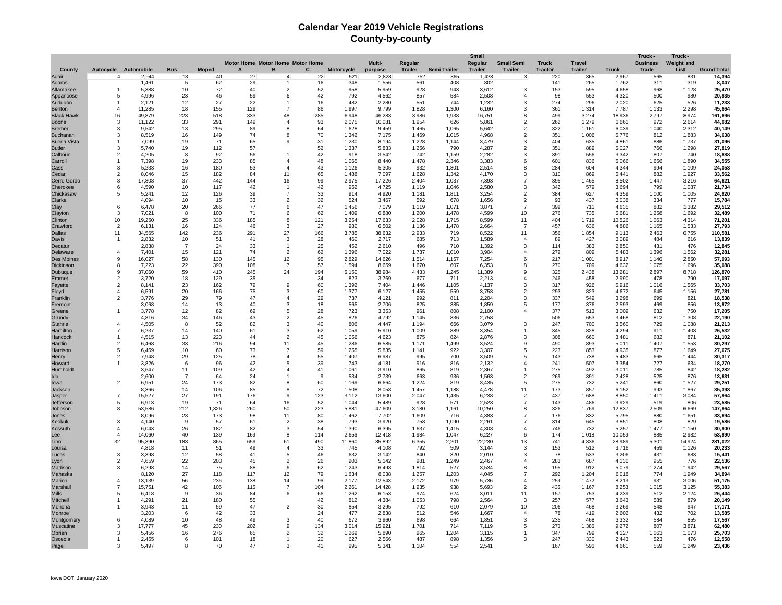## **Calendar Year 2019 Vehicle Registrations County-by-county**

| Motor Home Motor Home Motor Home<br>Regular<br>Regular<br><b>Truck</b><br><b>Travel</b><br>Autocycle Automobile<br><b>Bus</b><br><b>Moped</b><br>в<br>C<br>Trailer<br>Semi Trailer<br><b>Trailer</b><br><b>Tractor</b><br><b>Truck</b><br>Trade<br>List<br><b>Grand Total</b><br>County<br><b>Motorcycle</b><br>purpose<br><b>Trailer</b><br><b>Trailer</b><br>2,944<br>865<br>2,967<br>831<br>14,394<br>Adair<br>$\overline{4}$<br>13<br>40<br>27<br>22<br>521<br>2,828<br>752<br>1,423<br>3<br>220<br>365<br>565<br>$\overline{4}$<br>Adams<br>1,461<br>5<br>62<br>29<br>16<br>348<br>1,556<br>561<br>408<br>802<br>141<br>265<br>1,762<br>311<br>319<br>8,047<br>$\mathbf{1}$<br>40<br>52<br>958<br>25,470<br>Allamakee<br>$\mathbf{1}$<br>5,388<br>10<br>72<br>2<br>5,959<br>928<br>943<br>3,612<br>3<br>153<br>595<br>4,658<br>968<br>1,128<br>42<br>20,935<br>5<br>4,996<br>23<br>46<br>59<br>6<br>792<br>4,562<br>857<br>584<br>2,508<br>$\overline{\mathbf{4}}$<br>98<br>553<br>4,320<br>500<br>980<br>Appanoose<br>22<br>744<br>526<br>11,233<br>12<br>27<br>16<br>482<br>2,280<br>551<br>1,232<br>3<br>274<br>296<br>2,020<br>625<br>Audubon<br>$\overline{1}$<br>2.121<br>$\overline{1}$<br>129<br>$\overline{7}$<br>86<br>1,997<br>1,300<br>6,160<br>1,314<br>2,298<br>45,664<br>$\overline{a}$<br>11,285<br>18<br>155<br>9,799<br>1,828<br>3<br>361<br>7,787<br>1,133<br>Benton<br>223<br>518<br>333<br>48<br>285<br>6.948<br>46,283<br>3.986<br>1,938<br>16,751<br>499<br>3.274<br>2.797<br>8.974<br>161,696<br><b>Black Hawk</b><br>16<br>49,879<br>8<br>18,936<br>33<br>291<br>149<br>93<br>2,075<br>10,081<br>1.954<br>626<br>5.861<br>$\overline{2}$<br>262<br>1,279<br>972<br>2.614<br>44,082<br>3<br>11,122<br>$\overline{4}$<br>6,661<br>Boone<br>13<br>295<br>89<br>64<br>1.628<br>1.465<br>1,065<br>5,642<br>322<br>1.161<br>1,040<br>2,312<br>40.149<br>3<br>9.542<br>8<br>9.459<br>$\overline{2}$<br>6,039<br><b>Bremer</b><br>74<br>3<br>8,519<br>16<br>149<br>8<br>70<br>1,342<br>7,175<br>1,469<br>1,015<br>4,968<br>$\overline{2}$<br>351<br>1,006<br>5,776<br>812<br>1,883<br>34,638<br>Buchanan<br><b>Buena Vista</b><br>7,099<br>19<br>71<br>65<br>9<br>31<br>1,230<br>8,194<br>1,228<br>1,144<br>3,479<br>3<br>404<br>635<br>4,861<br>886<br>1,737<br>31,096<br>-1<br>5,740<br>19<br>112<br>57<br>52<br>1,337<br>5,833<br>1,256<br>790<br>4,287<br>351<br>889<br>5,027<br>766<br>1,298<br>27,819<br><b>Butler</b><br>3<br>$\overline{2}$<br>4,205<br>92<br>56<br>42<br>918<br>3,542<br>742<br>1,159<br>2,282<br>391<br>556<br>3,342<br>807<br>740<br>18,888<br>Calhoun<br>$\overline{2}$<br>8<br>$\overline{1}$<br>3<br>19<br>233<br>85<br>48<br>1,065<br>8,440<br>1,478<br>2,346<br>3,383<br>836<br>5,066<br>1,656<br>1,890<br>34,555<br>Carroll<br>7.398<br>$\overline{4}$<br>6<br>601<br>43<br>24,053<br>Cass<br>3<br>5,233<br>16<br>180<br>53<br>$\overline{4}$<br>1,126<br>5,305<br>932<br>1,301<br>2,514<br>8<br>284<br>604<br>4,344<br>994<br>1,109<br>65<br>33,562<br>Cedar<br>$\overline{2}$<br>8,046<br>15<br>182<br>84<br>11<br>1,488<br>7,097<br>1,628<br>1,342<br>4,170<br>3<br>310<br>869<br>5,441<br>882<br>1,927<br>64,621<br>Cerro Gordo<br>17,808<br>37<br>442<br>144<br>16<br>99<br>2,975<br>17,226<br>2,404<br>1,037<br>7,393<br>1,465<br>8,502<br>1,447<br>3,216<br>8<br>7<br>395<br>42<br>42<br>2.580<br>21,734<br>Cherokee<br>4,590<br>10<br>117<br>952<br>4,725<br>1,119<br>1,046<br>3<br>342<br>579<br>3,694<br>799<br>1,087<br>6<br>$\overline{\mathbf{1}}$<br>$\overline{7}$<br>33<br>3.254<br>627<br>1,000<br>1,005<br>24,920<br>Chickasaw<br>5,241<br>12<br>126<br>39<br>914<br>4,920<br>1,181<br>1,811<br>$\overline{2}$<br>384<br>4,359<br>5<br>33<br>32<br>678<br>93<br>334<br>777<br>15,784<br>Clarke<br>4.094<br>10<br>15<br>$\overline{2}$<br>524<br>3,467<br>592<br>1.656<br>$\overline{2}$<br>437<br>3.038<br>6<br>6.478<br>266<br>77<br>47<br>1.456<br>1.119<br>1,071<br>3.871<br>711<br>882<br>1,382<br>29,512<br>Clay<br>20<br>6<br>7,079<br>$\overline{7}$<br>399<br>4.635<br>62<br>32,489<br>Clayton<br>3<br>7,021<br>100<br>71<br>6<br>1,409<br>6,880<br>1,200<br>1,478<br>4,599<br>10<br>276<br>735<br>5,681<br>1,258<br>1,692<br>8<br>185<br>4,314<br>Clinton<br>10<br>19,250<br>25<br>336<br>8<br>121<br>3,254<br>17,633<br>2,028<br>1,715<br>8,599<br>11<br>404<br>1,719<br>10,526<br>1,063<br>71,201<br>27<br>1,533<br>Crawford<br>$\overline{2}$<br>6,131<br>16<br>124<br>46<br>3<br>980<br>6,502<br>1,136<br>1,478<br>2,664<br>$\overline{7}$<br>457<br>636<br>4,886<br>1,165<br>27,793<br>11<br>34,565<br>142<br>236<br>291<br>27<br>166<br>3,785<br>38,632<br>2,933<br>719<br>8,522<br>11<br>356<br>1,854<br>9,113<br>2,463<br>6,755<br>110,581<br>Dallas<br>2,832<br>10<br>51<br>41<br>3<br>28<br>460<br>2,717<br>685<br>713<br>1,589<br>89<br>427<br>3,089<br>484<br>616<br>13,839<br>Davis<br>$\mathbf{1}$<br>4<br>25<br>452<br>496<br>$\mathbf{R}$<br>383<br>431<br>12,845<br>Decatur<br>2,838<br>$\overline{7}$<br>24<br>33<br>$\overline{1}$<br>2,610<br>710<br>1,392<br>114<br>2,850<br>476<br>62<br>$\overline{a}$<br>15<br>74<br>$\overline{2}$<br>1,737<br>1,562<br>32,281<br>Delaware<br>7,401<br>121<br>1,396<br>7,022<br>1,010<br>3.904<br>$\Delta$<br>279<br>809<br>5,483<br>1,396<br>95<br>9<br>58<br>145<br>12<br>2,829<br>7,254<br>6<br>1,146<br>2,850<br>57,993<br>Des Moines<br>16,027<br>130<br>14,626<br>1,514<br>1,157<br>217<br>1,001<br>8,917<br>22<br>57<br>8<br>390<br>108<br>1,594<br>1,670<br>6,353<br>270<br>709<br>1,075<br>1,696<br>35,088<br>Dickinson<br>7,223<br>$\overline{7}$<br>8,659<br>607<br>8<br>4,632<br>59<br>325<br>8.718<br>9<br>37,060<br>410<br>245<br>24<br>194<br>5,150<br>4,433<br>1,245<br>11,389<br>q<br>2.438<br>13,281<br>2,897<br>126,870<br>38,984<br>Dubuque<br>2<br>18<br>129<br>35<br>34<br>823<br>3.769<br>677<br>711<br>2.213<br>246<br>458<br>2.990<br>478<br>790<br>17,097<br>Emmet<br>3.720<br>$\overline{\mathbf{4}}$<br>$\overline{2}$<br>23<br>162<br>79<br>9<br>60<br>1.392<br>7.404<br>1.446<br>1.105<br>4.137<br>3<br>317<br>926<br>5.916<br>1.016<br>1.565<br>33.703<br>8.141<br>Fayette<br>6.591<br>20<br>166<br>75<br>3<br>60<br>1.377<br>6.127<br>1.455<br>559<br>3.753<br>$\overline{2}$<br>293<br>823<br>4.672<br>645<br>1.156<br>27.781<br>Floyd<br>$\overline{a}$<br>29<br>79<br>47<br>29<br>811<br>18,538<br>Franklin<br>$\overline{2}$<br>3,776<br>4<br>737<br>4,121<br>992<br>2,204<br>3<br>337<br>549<br>3,298<br>699<br>821<br>40<br>18<br>825<br>385<br>1,859<br>177<br>376<br>2,593<br>469<br>856<br>13,972<br>Fremont<br>3,068<br>14<br>13<br>3<br>565<br>2,706<br>5<br>1<br>3,778<br>12<br>82<br>69<br>5<br>28<br>723<br>3,353<br>961<br>808<br>2,100<br>377<br>513<br>3,009<br>632<br>750<br>17,205<br>Greene<br>4<br>4,816<br>34<br>146<br>43<br>2<br>45<br>826<br>4,792<br>1,145<br>836<br>2,758<br>506<br>653<br>3,468<br>812<br>1,308<br>22,190<br>Grundy<br>$\overline{a}$<br>4,505<br>8<br>52<br>82<br>3<br>40<br>806<br>4,447<br>1,194<br>666<br>3,079<br>3<br>247<br>700<br>3,560<br>729<br>1,088<br>21,213<br>Guthrie<br>62<br>1,009<br>1,408<br>26,532<br>Hamilton<br>$\overline{7}$<br>6,237<br>14<br>140<br>61<br>3<br>1,059<br>5,910<br>889<br>3,354<br>345<br>828<br>4,294<br>911<br>-1<br>223<br>44<br>45<br>1,056<br>875<br>824<br>660<br>682<br>871<br>21,102<br>Hancock<br>$\mathbf{1}$<br>4,515<br>13<br>2<br>4,623<br>2,876<br>3<br>308<br>3,481<br>45<br>216<br>$Q_4$<br>1,171<br>1,499<br>3,524<br>893<br>1,407<br>1,553<br>30,297<br>$\overline{2}$<br>6.468<br>33<br>11<br>1,286<br>6,585<br>490<br>5,011<br>Hardin<br>9<br>73<br>27,675<br>6,459<br>10<br>60<br>$\overline{7}$<br>59<br>1,255<br>5,835<br>1,141<br>922<br>3,307<br>223<br>853<br>877<br>1,649<br>5<br>5<br>4,935<br>Harrison<br>78<br>1,444<br>30,317<br>29<br>125<br>55<br>1,407<br>995<br>700<br>3,509<br>143<br>738<br>5,483<br>665<br>$\overline{2}$<br>7.948<br>$\Delta$<br>6,987<br>5<br>Henry<br>3.826<br>96<br>42<br>39<br>743<br>4.181<br>916<br>816<br>2.132<br>241<br>507<br>3.354<br>727<br>634<br>18,270<br>Howard<br>6<br>5<br>$\overline{4}$<br>3.647<br>11<br>109<br>42<br>41<br>1.061<br>3.910<br>865<br>819<br>2.367<br>275<br>492<br>3.011<br>785<br>842<br>18.282<br>Humboldt<br>$\Delta$<br>$\mathbf{1}$<br>936<br>876<br>Ida<br>2,600<br>$\overline{7}$<br>64<br>24<br>-9<br>534<br>2,739<br>663<br>1,563<br>$\overline{2}$<br>269<br>391<br>2,428<br>525<br>13,631<br>1<br>173<br>82<br>60<br>1,224<br>819<br>275<br>732<br>1,527<br>29,251<br>$\overline{2}$<br>6,951<br>24<br>8<br>1,169<br>6,664<br>3,435<br>5<br>5,241<br>860<br>lowa<br>106<br>85<br>72<br>1,457<br>1,188<br>173<br>857<br>993<br>1,867<br>35,393<br>Jackson<br>8,366<br>14<br>8<br>1,508<br>8,058<br>4,478<br>11<br>6,152<br>$\overline{7}$<br>15,527<br>27<br>191<br>176<br>9<br>123<br>3,112<br>13,600<br>2,047<br>1,435<br>6,238<br>$\overline{2}$<br>437<br>1,688<br>8,850<br>1,411<br>3,084<br>57,964<br>Jasper<br>Jefferson<br>6,913<br>19<br>71<br>64<br>16<br>52<br>1,044<br>5,489<br>928<br>571<br>2,523<br>$\overline{7}$<br>143<br>486<br>3,929<br>519<br>806<br>23,585<br>5<br>260<br>212<br>1,326<br>223<br>5,881<br>3,180<br>1,161<br>10,250<br>8<br>326<br>1,769<br>2,509<br>6,669<br>147,864<br>Johnson<br>8<br>53,586<br>50<br>47,609<br>12,837<br>80<br>33,694<br>23<br>173<br>98<br>1,462<br>1,609<br>716<br>4,383<br>$\overline{7}$<br>176<br>832<br>880<br>1,651<br>8,096<br>11<br>7,702<br>5,795<br>Jones<br>61<br>38<br>19,586<br>3<br>57<br>793<br>758<br>1,090<br>2,261<br>314<br>645<br>3,851<br>808<br>829<br>Keokuk<br>4.140<br>- q<br>$\overline{2}$<br>3,920<br>7<br>82<br>54<br>732<br>1,150<br>30,900<br>6,043<br>26<br>182<br>3<br>1,390<br>6,395<br>1,637<br>1,415<br>4,303<br>746<br>5,257<br>1,477<br>Kossuth<br>4<br>4<br>40<br>139<br>169<br>8<br>2.656<br>1.984<br>1,047<br>6.227<br>174<br>885<br>2.982<br>53,990<br>14.060<br>114<br>12,418<br>6<br>1,018<br>10,059<br>$\boldsymbol{\Lambda}$<br>Lee<br>32<br>95,390<br>183<br>865<br>659<br>61<br>490<br>11,860<br>85,892<br>6,355<br>2,201<br>22,230<br>13<br>741<br>4,836<br>28,989<br>5,301<br>14,924<br>281,022<br><b>Linn</b><br>4,818<br>11<br>51<br>49<br>33<br>745<br>4,108<br>792<br>509<br>3,144<br>3<br>153<br>512<br>3,716<br>459<br>1,126<br>20,233<br>Louisa<br>$\overline{a}$<br>3<br>3,398<br>12<br>58<br>41<br>5<br>46<br>632<br>3,142<br>840<br>320<br>2,010<br>3<br>78<br>533<br>3,206<br>431<br>683<br>15,441<br>Lucas<br>22<br>203<br>26<br>903<br>981<br>1,249<br>687<br>776<br>22,536<br>Lyon<br>$\overline{2}$<br>4,659<br>45<br>$\overline{2}$<br>5,142<br>2,467<br>$\overline{4}$<br>283<br>4,130<br>955<br>Madison<br>6.298<br>75<br>88<br>62<br>1,243<br>6,493<br>1,814<br>527<br>3.534<br>195<br>912<br>5.079<br>1,274<br>1,942<br>29,567<br>3<br>14<br>6<br>8<br>Mahaska<br>8,120<br>27<br>118<br>117<br>12<br>79<br>1,634<br>8,038<br>1,257<br>1,203<br>4,045<br>292<br>1,204<br>6,018<br>774<br>1,949<br>34,894<br>7<br>51,175<br>Marion<br>$\overline{a}$<br>13,139<br>56<br>236<br>138<br>14<br>96<br>2,177<br>12,543<br>2,172<br>979<br>5,736<br>$\overline{4}$<br>259<br>1,472<br>8,213<br>931<br>3,006<br>55,383<br>Marshall<br>15,751<br>42<br>105<br>115<br>$\overline{7}$<br>104<br>2,261<br>14,428<br>1,935<br>938<br>5,693<br>$\overline{2}$<br>435<br>1,167<br>8,253<br>1,015<br>3,125<br>7<br>66<br>3,011<br>11<br>157<br>2,124<br>26,444<br><b>Mills</b><br>5<br>6.418<br>-9<br>36<br>84<br>6<br>1,262<br>6,153<br>974<br>624<br>753<br>4,239<br>512<br>20,149<br>21<br>180<br>55<br>42<br>4,384<br>1,053<br>798<br>2,564<br>257<br>577<br>3,643<br>589<br>879<br>Mitchell<br>4.291<br>812<br>3<br>47<br>$\overline{2}$<br>947<br>17,171<br>11<br>30<br>854<br>3,295<br>792<br>610<br>2,079<br>10<br>468<br>3,269<br>548<br>Monona<br>3.943<br>59<br>206<br>42<br>33<br>24<br>477<br>419<br>432<br>702<br>13,585<br>3.203<br>2,838<br>512<br>546<br>1,667<br>78<br>2,602<br>Monroe<br>6<br>4<br>48<br>49<br>672<br>664<br>1,851<br>468<br>584<br>17,567<br>Montgomery<br>6<br>4.089<br>10<br>3<br>40<br>3,960<br>698<br>3<br>235<br>3,332<br>855<br>3<br>17,777<br>45<br>230<br>202<br>9<br>134<br>3,014<br>15,921<br>1,701<br>714<br>7,119<br>270<br>1,386<br>9,272<br>807<br>3,871<br>62,480<br>Muscatine<br>5<br>Obrien<br>5,456<br>16<br>276<br>65<br>$\overline{2}$<br>32<br>1,269<br>5,890<br>965<br>1,204<br>3,115<br>347<br>799<br>4,127<br>1,063<br>1,073<br>25,703<br>3<br>-1<br>20<br>487<br>247<br>330<br>2,443<br>12,558<br>Osceola<br>2.455<br>101<br>18<br>627<br>2.566<br>898<br>1,356<br>3<br>523<br>476<br>70<br>47<br>3<br>41<br>995<br>167<br>596<br>559<br>1,249<br>23,436<br>Page<br>3<br>5.497<br>5,341<br>1,104<br>554<br>2.541<br>4,661 |  |  |  |  |        |  | Small |                   |  | Truck -         | Truck -           |  |
|----------------------------------------------------------------------------------------------------------------------------------------------------------------------------------------------------------------------------------------------------------------------------------------------------------------------------------------------------------------------------------------------------------------------------------------------------------------------------------------------------------------------------------------------------------------------------------------------------------------------------------------------------------------------------------------------------------------------------------------------------------------------------------------------------------------------------------------------------------------------------------------------------------------------------------------------------------------------------------------------------------------------------------------------------------------------------------------------------------------------------------------------------------------------------------------------------------------------------------------------------------------------------------------------------------------------------------------------------------------------------------------------------------------------------------------------------------------------------------------------------------------------------------------------------------------------------------------------------------------------------------------------------------------------------------------------------------------------------------------------------------------------------------------------------------------------------------------------------------------------------------------------------------------------------------------------------------------------------------------------------------------------------------------------------------------------------------------------------------------------------------------------------------------------------------------------------------------------------------------------------------------------------------------------------------------------------------------------------------------------------------------------------------------------------------------------------------------------------------------------------------------------------------------------------------------------------------------------------------------------------------------------------------------------------------------------------------------------------------------------------------------------------------------------------------------------------------------------------------------------------------------------------------------------------------------------------------------------------------------------------------------------------------------------------------------------------------------------------------------------------------------------------------------------------------------------------------------------------------------------------------------------------------------------------------------------------------------------------------------------------------------------------------------------------------------------------------------------------------------------------------------------------------------------------------------------------------------------------------------------------------------------------------------------------------------------------------------------------------------------------------------------------------------------------------------------------------------------------------------------------------------------------------------------------------------------------------------------------------------------------------------------------------------------------------------------------------------------------------------------------------------------------------------------------------------------------------------------------------------------------------------------------------------------------------------------------------------------------------------------------------------------------------------------------------------------------------------------------------------------------------------------------------------------------------------------------------------------------------------------------------------------------------------------------------------------------------------------------------------------------------------------------------------------------------------------------------------------------------------------------------------------------------------------------------------------------------------------------------------------------------------------------------------------------------------------------------------------------------------------------------------------------------------------------------------------------------------------------------------------------------------------------------------------------------------------------------------------------------------------------------------------------------------------------------------------------------------------------------------------------------------------------------------------------------------------------------------------------------------------------------------------------------------------------------------------------------------------------------------------------------------------------------------------------------------------------------------------------------------------------------------------------------------------------------------------------------------------------------------------------------------------------------------------------------------------------------------------------------------------------------------------------------------------------------------------------------------------------------------------------------------------------------------------------------------------------------------------------------------------------------------------------------------------------------------------------------------------------------------------------------------------------------------------------------------------------------------------------------------------------------------------------------------------------------------------------------------------------------------------------------------------------------------------------------------------------------------------------------------------------------------------------------------------------------------------------------------------------------------------------------------------------------------------------------------------------------------------------------------------------------------------------------------------------------------------------------------------------------------------------------------------------------------------------------------------------------------------------------------------------------------------------------------------------------------------------------------------------------------------------------------------------------------------------------------------------------------------------------------------------------------------------------------------------------------------------------------------------------------------------------------------------------------------------------------------------------------------------------------------------------------------------------------------------------------------------------------------------------------------------------------------------------------------------------------------------------------------------------------------------------------------------------------------------------------------------------------------------------------------------------------------------------------------------------------------------------------------------------------------------------------------------------------------------------------------------------------------------------------------------------------------------------------------------------------------------------------------------------------------------------------------------------------------------------------------------------------------------------------------------------------------------------------------------------------------------------------------------------------------------------------------------------------------------------------------------------------------------------------------------------------------------------------------------------------------------------------------------------------------------------------------------------------------------------------------------------------------------------------------------------------------------------------------------------------------------------------------------------------------------------------------------------------------------------------------------------------------------------------------------------------------------------------------------------------------------------------------------------------------------------------------------------------------------------------------------------------------------------------------------------------------------------------------------------------------------------------------------------------------------------------------------------------------------------------------------------------------------------------------------------------------------------------------------------------------------------------------------------------------------------------------------------------------------------------------------------------------------------------------------------------------------------------------------------------------------------------------------------------------------------------------------------------------------------------------------------------------------------------------------------------------------------------------------------------------------------------------------------------------------------------------------------------------------------------------------------------------------------------------------------------------------------------------------------------------------------------------------------------------------------------------------------------------------------------------------------------------------------------------------------------------------------------------------------------------------------------------------------------------------------------------------------------------------------------------------------------------------------------------------------------------------------------------------------------------------------------------------------------------------------------------------------------------------------------------------------------------------------------------------------------------------------------------------------------------------------------------------------------------------------------------------------------------------------------------------------------------------------------------------------------------------------------------------------------------------------------------------------------------------------------------------------------------------------------------------------------------------------------------------------------------------------------------------------------------------------------------------------------------------------------------------------------------------------------------------------------------------------------------------------------------------------------------------------------------------------------------------------------------------------------------------------------------------------------------------------------------------------------------------------------------------------------------------------------------------------------------------------------------------------------------------------------------------------------------------------------------------------------------------------------------------|--|--|--|--|--------|--|-------|-------------------|--|-----------------|-------------------|--|
|                                                                                                                                                                                                                                                                                                                                                                                                                                                                                                                                                                                                                                                                                                                                                                                                                                                                                                                                                                                                                                                                                                                                                                                                                                                                                                                                                                                                                                                                                                                                                                                                                                                                                                                                                                                                                                                                                                                                                                                                                                                                                                                                                                                                                                                                                                                                                                                                                                                                                                                                                                                                                                                                                                                                                                                                                                                                                                                                                                                                                                                                                                                                                                                                                                                                                                                                                                                                                                                                                                                                                                                                                                                                                                                                                                                                                                                                                                                                                                                                                                                                                                                                                                                                                                                                                                                                                                                                                                                                                                                                                                                                                                                                                                                                                                                                                                                                                                                                                                                                                                                                                                                                                                                                                                                                                                                                                                                                                                                                                                                                                                                                                                                                                                                                                                                                                                                                                                                                                                                                                                                                                                                                                                                                                                                                                                                                                                                                                                                                                                                                                                                                                                                                                                                                                                                                                                                                                                                                                                                                                                                                                                                                                                                                                                                                                                                                                                                                                                                                                                                                                                                                                                                                                                                                                                                                                                                                                                                                                                                                                                                                                                                                                                                                                                                                                                                                                                                                                                                                                                                                                                                                                                                                                                                                                                                                                                                                                                                                                                                                                                                                                                                                                                                                                                                                                                                                                                                                                                                                                                                                                                                                                                                                                                                                                                                                                                                                                                                                                                                                                                                                                                                                                                                                                                                                                                                                                                                                                                                                                                                                                                                                                                                                                                                                                                                                                                                                                                                                                                                                                                                                                                                                                                                                                                                                                                                                                                                                                                                                                                                                                                                                                                                                                                                                                                                                                                                                                                                                                                                                                                                                                                                                                                                                                                                                                                                                                                                                                                                                                                                                                                                                                                                                                                                                                                            |  |  |  |  | Multi- |  |       | <b>Small Semi</b> |  | <b>Business</b> | <b>Weight and</b> |  |
|                                                                                                                                                                                                                                                                                                                                                                                                                                                                                                                                                                                                                                                                                                                                                                                                                                                                                                                                                                                                                                                                                                                                                                                                                                                                                                                                                                                                                                                                                                                                                                                                                                                                                                                                                                                                                                                                                                                                                                                                                                                                                                                                                                                                                                                                                                                                                                                                                                                                                                                                                                                                                                                                                                                                                                                                                                                                                                                                                                                                                                                                                                                                                                                                                                                                                                                                                                                                                                                                                                                                                                                                                                                                                                                                                                                                                                                                                                                                                                                                                                                                                                                                                                                                                                                                                                                                                                                                                                                                                                                                                                                                                                                                                                                                                                                                                                                                                                                                                                                                                                                                                                                                                                                                                                                                                                                                                                                                                                                                                                                                                                                                                                                                                                                                                                                                                                                                                                                                                                                                                                                                                                                                                                                                                                                                                                                                                                                                                                                                                                                                                                                                                                                                                                                                                                                                                                                                                                                                                                                                                                                                                                                                                                                                                                                                                                                                                                                                                                                                                                                                                                                                                                                                                                                                                                                                                                                                                                                                                                                                                                                                                                                                                                                                                                                                                                                                                                                                                                                                                                                                                                                                                                                                                                                                                                                                                                                                                                                                                                                                                                                                                                                                                                                                                                                                                                                                                                                                                                                                                                                                                                                                                                                                                                                                                                                                                                                                                                                                                                                                                                                                                                                                                                                                                                                                                                                                                                                                                                                                                                                                                                                                                                                                                                                                                                                                                                                                                                                                                                                                                                                                                                                                                                                                                                                                                                                                                                                                                                                                                                                                                                                                                                                                                                                                                                                                                                                                                                                                                                                                                                                                                                                                                                                                                                                                                                                                                                                                                                                                                                                                                                                                                                                                                                                                                                            |  |  |  |  |        |  |       |                   |  |                 |                   |  |
|                                                                                                                                                                                                                                                                                                                                                                                                                                                                                                                                                                                                                                                                                                                                                                                                                                                                                                                                                                                                                                                                                                                                                                                                                                                                                                                                                                                                                                                                                                                                                                                                                                                                                                                                                                                                                                                                                                                                                                                                                                                                                                                                                                                                                                                                                                                                                                                                                                                                                                                                                                                                                                                                                                                                                                                                                                                                                                                                                                                                                                                                                                                                                                                                                                                                                                                                                                                                                                                                                                                                                                                                                                                                                                                                                                                                                                                                                                                                                                                                                                                                                                                                                                                                                                                                                                                                                                                                                                                                                                                                                                                                                                                                                                                                                                                                                                                                                                                                                                                                                                                                                                                                                                                                                                                                                                                                                                                                                                                                                                                                                                                                                                                                                                                                                                                                                                                                                                                                                                                                                                                                                                                                                                                                                                                                                                                                                                                                                                                                                                                                                                                                                                                                                                                                                                                                                                                                                                                                                                                                                                                                                                                                                                                                                                                                                                                                                                                                                                                                                                                                                                                                                                                                                                                                                                                                                                                                                                                                                                                                                                                                                                                                                                                                                                                                                                                                                                                                                                                                                                                                                                                                                                                                                                                                                                                                                                                                                                                                                                                                                                                                                                                                                                                                                                                                                                                                                                                                                                                                                                                                                                                                                                                                                                                                                                                                                                                                                                                                                                                                                                                                                                                                                                                                                                                                                                                                                                                                                                                                                                                                                                                                                                                                                                                                                                                                                                                                                                                                                                                                                                                                                                                                                                                                                                                                                                                                                                                                                                                                                                                                                                                                                                                                                                                                                                                                                                                                                                                                                                                                                                                                                                                                                                                                                                                                                                                                                                                                                                                                                                                                                                                                                                                                                                                                                                            |  |  |  |  |        |  |       |                   |  |                 |                   |  |
|                                                                                                                                                                                                                                                                                                                                                                                                                                                                                                                                                                                                                                                                                                                                                                                                                                                                                                                                                                                                                                                                                                                                                                                                                                                                                                                                                                                                                                                                                                                                                                                                                                                                                                                                                                                                                                                                                                                                                                                                                                                                                                                                                                                                                                                                                                                                                                                                                                                                                                                                                                                                                                                                                                                                                                                                                                                                                                                                                                                                                                                                                                                                                                                                                                                                                                                                                                                                                                                                                                                                                                                                                                                                                                                                                                                                                                                                                                                                                                                                                                                                                                                                                                                                                                                                                                                                                                                                                                                                                                                                                                                                                                                                                                                                                                                                                                                                                                                                                                                                                                                                                                                                                                                                                                                                                                                                                                                                                                                                                                                                                                                                                                                                                                                                                                                                                                                                                                                                                                                                                                                                                                                                                                                                                                                                                                                                                                                                                                                                                                                                                                                                                                                                                                                                                                                                                                                                                                                                                                                                                                                                                                                                                                                                                                                                                                                                                                                                                                                                                                                                                                                                                                                                                                                                                                                                                                                                                                                                                                                                                                                                                                                                                                                                                                                                                                                                                                                                                                                                                                                                                                                                                                                                                                                                                                                                                                                                                                                                                                                                                                                                                                                                                                                                                                                                                                                                                                                                                                                                                                                                                                                                                                                                                                                                                                                                                                                                                                                                                                                                                                                                                                                                                                                                                                                                                                                                                                                                                                                                                                                                                                                                                                                                                                                                                                                                                                                                                                                                                                                                                                                                                                                                                                                                                                                                                                                                                                                                                                                                                                                                                                                                                                                                                                                                                                                                                                                                                                                                                                                                                                                                                                                                                                                                                                                                                                                                                                                                                                                                                                                                                                                                                                                                                                                                                                            |  |  |  |  |        |  |       |                   |  |                 |                   |  |
|                                                                                                                                                                                                                                                                                                                                                                                                                                                                                                                                                                                                                                                                                                                                                                                                                                                                                                                                                                                                                                                                                                                                                                                                                                                                                                                                                                                                                                                                                                                                                                                                                                                                                                                                                                                                                                                                                                                                                                                                                                                                                                                                                                                                                                                                                                                                                                                                                                                                                                                                                                                                                                                                                                                                                                                                                                                                                                                                                                                                                                                                                                                                                                                                                                                                                                                                                                                                                                                                                                                                                                                                                                                                                                                                                                                                                                                                                                                                                                                                                                                                                                                                                                                                                                                                                                                                                                                                                                                                                                                                                                                                                                                                                                                                                                                                                                                                                                                                                                                                                                                                                                                                                                                                                                                                                                                                                                                                                                                                                                                                                                                                                                                                                                                                                                                                                                                                                                                                                                                                                                                                                                                                                                                                                                                                                                                                                                                                                                                                                                                                                                                                                                                                                                                                                                                                                                                                                                                                                                                                                                                                                                                                                                                                                                                                                                                                                                                                                                                                                                                                                                                                                                                                                                                                                                                                                                                                                                                                                                                                                                                                                                                                                                                                                                                                                                                                                                                                                                                                                                                                                                                                                                                                                                                                                                                                                                                                                                                                                                                                                                                                                                                                                                                                                                                                                                                                                                                                                                                                                                                                                                                                                                                                                                                                                                                                                                                                                                                                                                                                                                                                                                                                                                                                                                                                                                                                                                                                                                                                                                                                                                                                                                                                                                                                                                                                                                                                                                                                                                                                                                                                                                                                                                                                                                                                                                                                                                                                                                                                                                                                                                                                                                                                                                                                                                                                                                                                                                                                                                                                                                                                                                                                                                                                                                                                                                                                                                                                                                                                                                                                                                                                                                                                                                                                                                            |  |  |  |  |        |  |       |                   |  |                 |                   |  |
|                                                                                                                                                                                                                                                                                                                                                                                                                                                                                                                                                                                                                                                                                                                                                                                                                                                                                                                                                                                                                                                                                                                                                                                                                                                                                                                                                                                                                                                                                                                                                                                                                                                                                                                                                                                                                                                                                                                                                                                                                                                                                                                                                                                                                                                                                                                                                                                                                                                                                                                                                                                                                                                                                                                                                                                                                                                                                                                                                                                                                                                                                                                                                                                                                                                                                                                                                                                                                                                                                                                                                                                                                                                                                                                                                                                                                                                                                                                                                                                                                                                                                                                                                                                                                                                                                                                                                                                                                                                                                                                                                                                                                                                                                                                                                                                                                                                                                                                                                                                                                                                                                                                                                                                                                                                                                                                                                                                                                                                                                                                                                                                                                                                                                                                                                                                                                                                                                                                                                                                                                                                                                                                                                                                                                                                                                                                                                                                                                                                                                                                                                                                                                                                                                                                                                                                                                                                                                                                                                                                                                                                                                                                                                                                                                                                                                                                                                                                                                                                                                                                                                                                                                                                                                                                                                                                                                                                                                                                                                                                                                                                                                                                                                                                                                                                                                                                                                                                                                                                                                                                                                                                                                                                                                                                                                                                                                                                                                                                                                                                                                                                                                                                                                                                                                                                                                                                                                                                                                                                                                                                                                                                                                                                                                                                                                                                                                                                                                                                                                                                                                                                                                                                                                                                                                                                                                                                                                                                                                                                                                                                                                                                                                                                                                                                                                                                                                                                                                                                                                                                                                                                                                                                                                                                                                                                                                                                                                                                                                                                                                                                                                                                                                                                                                                                                                                                                                                                                                                                                                                                                                                                                                                                                                                                                                                                                                                                                                                                                                                                                                                                                                                                                                                                                                                                                                                            |  |  |  |  |        |  |       |                   |  |                 |                   |  |
|                                                                                                                                                                                                                                                                                                                                                                                                                                                                                                                                                                                                                                                                                                                                                                                                                                                                                                                                                                                                                                                                                                                                                                                                                                                                                                                                                                                                                                                                                                                                                                                                                                                                                                                                                                                                                                                                                                                                                                                                                                                                                                                                                                                                                                                                                                                                                                                                                                                                                                                                                                                                                                                                                                                                                                                                                                                                                                                                                                                                                                                                                                                                                                                                                                                                                                                                                                                                                                                                                                                                                                                                                                                                                                                                                                                                                                                                                                                                                                                                                                                                                                                                                                                                                                                                                                                                                                                                                                                                                                                                                                                                                                                                                                                                                                                                                                                                                                                                                                                                                                                                                                                                                                                                                                                                                                                                                                                                                                                                                                                                                                                                                                                                                                                                                                                                                                                                                                                                                                                                                                                                                                                                                                                                                                                                                                                                                                                                                                                                                                                                                                                                                                                                                                                                                                                                                                                                                                                                                                                                                                                                                                                                                                                                                                                                                                                                                                                                                                                                                                                                                                                                                                                                                                                                                                                                                                                                                                                                                                                                                                                                                                                                                                                                                                                                                                                                                                                                                                                                                                                                                                                                                                                                                                                                                                                                                                                                                                                                                                                                                                                                                                                                                                                                                                                                                                                                                                                                                                                                                                                                                                                                                                                                                                                                                                                                                                                                                                                                                                                                                                                                                                                                                                                                                                                                                                                                                                                                                                                                                                                                                                                                                                                                                                                                                                                                                                                                                                                                                                                                                                                                                                                                                                                                                                                                                                                                                                                                                                                                                                                                                                                                                                                                                                                                                                                                                                                                                                                                                                                                                                                                                                                                                                                                                                                                                                                                                                                                                                                                                                                                                                                                                                                                                                                                                                            |  |  |  |  |        |  |       |                   |  |                 |                   |  |
|                                                                                                                                                                                                                                                                                                                                                                                                                                                                                                                                                                                                                                                                                                                                                                                                                                                                                                                                                                                                                                                                                                                                                                                                                                                                                                                                                                                                                                                                                                                                                                                                                                                                                                                                                                                                                                                                                                                                                                                                                                                                                                                                                                                                                                                                                                                                                                                                                                                                                                                                                                                                                                                                                                                                                                                                                                                                                                                                                                                                                                                                                                                                                                                                                                                                                                                                                                                                                                                                                                                                                                                                                                                                                                                                                                                                                                                                                                                                                                                                                                                                                                                                                                                                                                                                                                                                                                                                                                                                                                                                                                                                                                                                                                                                                                                                                                                                                                                                                                                                                                                                                                                                                                                                                                                                                                                                                                                                                                                                                                                                                                                                                                                                                                                                                                                                                                                                                                                                                                                                                                                                                                                                                                                                                                                                                                                                                                                                                                                                                                                                                                                                                                                                                                                                                                                                                                                                                                                                                                                                                                                                                                                                                                                                                                                                                                                                                                                                                                                                                                                                                                                                                                                                                                                                                                                                                                                                                                                                                                                                                                                                                                                                                                                                                                                                                                                                                                                                                                                                                                                                                                                                                                                                                                                                                                                                                                                                                                                                                                                                                                                                                                                                                                                                                                                                                                                                                                                                                                                                                                                                                                                                                                                                                                                                                                                                                                                                                                                                                                                                                                                                                                                                                                                                                                                                                                                                                                                                                                                                                                                                                                                                                                                                                                                                                                                                                                                                                                                                                                                                                                                                                                                                                                                                                                                                                                                                                                                                                                                                                                                                                                                                                                                                                                                                                                                                                                                                                                                                                                                                                                                                                                                                                                                                                                                                                                                                                                                                                                                                                                                                                                                                                                                                                                                                                                            |  |  |  |  |        |  |       |                   |  |                 |                   |  |
|                                                                                                                                                                                                                                                                                                                                                                                                                                                                                                                                                                                                                                                                                                                                                                                                                                                                                                                                                                                                                                                                                                                                                                                                                                                                                                                                                                                                                                                                                                                                                                                                                                                                                                                                                                                                                                                                                                                                                                                                                                                                                                                                                                                                                                                                                                                                                                                                                                                                                                                                                                                                                                                                                                                                                                                                                                                                                                                                                                                                                                                                                                                                                                                                                                                                                                                                                                                                                                                                                                                                                                                                                                                                                                                                                                                                                                                                                                                                                                                                                                                                                                                                                                                                                                                                                                                                                                                                                                                                                                                                                                                                                                                                                                                                                                                                                                                                                                                                                                                                                                                                                                                                                                                                                                                                                                                                                                                                                                                                                                                                                                                                                                                                                                                                                                                                                                                                                                                                                                                                                                                                                                                                                                                                                                                                                                                                                                                                                                                                                                                                                                                                                                                                                                                                                                                                                                                                                                                                                                                                                                                                                                                                                                                                                                                                                                                                                                                                                                                                                                                                                                                                                                                                                                                                                                                                                                                                                                                                                                                                                                                                                                                                                                                                                                                                                                                                                                                                                                                                                                                                                                                                                                                                                                                                                                                                                                                                                                                                                                                                                                                                                                                                                                                                                                                                                                                                                                                                                                                                                                                                                                                                                                                                                                                                                                                                                                                                                                                                                                                                                                                                                                                                                                                                                                                                                                                                                                                                                                                                                                                                                                                                                                                                                                                                                                                                                                                                                                                                                                                                                                                                                                                                                                                                                                                                                                                                                                                                                                                                                                                                                                                                                                                                                                                                                                                                                                                                                                                                                                                                                                                                                                                                                                                                                                                                                                                                                                                                                                                                                                                                                                                                                                                                                                                                                                            |  |  |  |  |        |  |       |                   |  |                 |                   |  |
|                                                                                                                                                                                                                                                                                                                                                                                                                                                                                                                                                                                                                                                                                                                                                                                                                                                                                                                                                                                                                                                                                                                                                                                                                                                                                                                                                                                                                                                                                                                                                                                                                                                                                                                                                                                                                                                                                                                                                                                                                                                                                                                                                                                                                                                                                                                                                                                                                                                                                                                                                                                                                                                                                                                                                                                                                                                                                                                                                                                                                                                                                                                                                                                                                                                                                                                                                                                                                                                                                                                                                                                                                                                                                                                                                                                                                                                                                                                                                                                                                                                                                                                                                                                                                                                                                                                                                                                                                                                                                                                                                                                                                                                                                                                                                                                                                                                                                                                                                                                                                                                                                                                                                                                                                                                                                                                                                                                                                                                                                                                                                                                                                                                                                                                                                                                                                                                                                                                                                                                                                                                                                                                                                                                                                                                                                                                                                                                                                                                                                                                                                                                                                                                                                                                                                                                                                                                                                                                                                                                                                                                                                                                                                                                                                                                                                                                                                                                                                                                                                                                                                                                                                                                                                                                                                                                                                                                                                                                                                                                                                                                                                                                                                                                                                                                                                                                                                                                                                                                                                                                                                                                                                                                                                                                                                                                                                                                                                                                                                                                                                                                                                                                                                                                                                                                                                                                                                                                                                                                                                                                                                                                                                                                                                                                                                                                                                                                                                                                                                                                                                                                                                                                                                                                                                                                                                                                                                                                                                                                                                                                                                                                                                                                                                                                                                                                                                                                                                                                                                                                                                                                                                                                                                                                                                                                                                                                                                                                                                                                                                                                                                                                                                                                                                                                                                                                                                                                                                                                                                                                                                                                                                                                                                                                                                                                                                                                                                                                                                                                                                                                                                                                                                                                                                                                                                                            |  |  |  |  |        |  |       |                   |  |                 |                   |  |
|                                                                                                                                                                                                                                                                                                                                                                                                                                                                                                                                                                                                                                                                                                                                                                                                                                                                                                                                                                                                                                                                                                                                                                                                                                                                                                                                                                                                                                                                                                                                                                                                                                                                                                                                                                                                                                                                                                                                                                                                                                                                                                                                                                                                                                                                                                                                                                                                                                                                                                                                                                                                                                                                                                                                                                                                                                                                                                                                                                                                                                                                                                                                                                                                                                                                                                                                                                                                                                                                                                                                                                                                                                                                                                                                                                                                                                                                                                                                                                                                                                                                                                                                                                                                                                                                                                                                                                                                                                                                                                                                                                                                                                                                                                                                                                                                                                                                                                                                                                                                                                                                                                                                                                                                                                                                                                                                                                                                                                                                                                                                                                                                                                                                                                                                                                                                                                                                                                                                                                                                                                                                                                                                                                                                                                                                                                                                                                                                                                                                                                                                                                                                                                                                                                                                                                                                                                                                                                                                                                                                                                                                                                                                                                                                                                                                                                                                                                                                                                                                                                                                                                                                                                                                                                                                                                                                                                                                                                                                                                                                                                                                                                                                                                                                                                                                                                                                                                                                                                                                                                                                                                                                                                                                                                                                                                                                                                                                                                                                                                                                                                                                                                                                                                                                                                                                                                                                                                                                                                                                                                                                                                                                                                                                                                                                                                                                                                                                                                                                                                                                                                                                                                                                                                                                                                                                                                                                                                                                                                                                                                                                                                                                                                                                                                                                                                                                                                                                                                                                                                                                                                                                                                                                                                                                                                                                                                                                                                                                                                                                                                                                                                                                                                                                                                                                                                                                                                                                                                                                                                                                                                                                                                                                                                                                                                                                                                                                                                                                                                                                                                                                                                                                                                                                                                                                                                            |  |  |  |  |        |  |       |                   |  |                 |                   |  |
|                                                                                                                                                                                                                                                                                                                                                                                                                                                                                                                                                                                                                                                                                                                                                                                                                                                                                                                                                                                                                                                                                                                                                                                                                                                                                                                                                                                                                                                                                                                                                                                                                                                                                                                                                                                                                                                                                                                                                                                                                                                                                                                                                                                                                                                                                                                                                                                                                                                                                                                                                                                                                                                                                                                                                                                                                                                                                                                                                                                                                                                                                                                                                                                                                                                                                                                                                                                                                                                                                                                                                                                                                                                                                                                                                                                                                                                                                                                                                                                                                                                                                                                                                                                                                                                                                                                                                                                                                                                                                                                                                                                                                                                                                                                                                                                                                                                                                                                                                                                                                                                                                                                                                                                                                                                                                                                                                                                                                                                                                                                                                                                                                                                                                                                                                                                                                                                                                                                                                                                                                                                                                                                                                                                                                                                                                                                                                                                                                                                                                                                                                                                                                                                                                                                                                                                                                                                                                                                                                                                                                                                                                                                                                                                                                                                                                                                                                                                                                                                                                                                                                                                                                                                                                                                                                                                                                                                                                                                                                                                                                                                                                                                                                                                                                                                                                                                                                                                                                                                                                                                                                                                                                                                                                                                                                                                                                                                                                                                                                                                                                                                                                                                                                                                                                                                                                                                                                                                                                                                                                                                                                                                                                                                                                                                                                                                                                                                                                                                                                                                                                                                                                                                                                                                                                                                                                                                                                                                                                                                                                                                                                                                                                                                                                                                                                                                                                                                                                                                                                                                                                                                                                                                                                                                                                                                                                                                                                                                                                                                                                                                                                                                                                                                                                                                                                                                                                                                                                                                                                                                                                                                                                                                                                                                                                                                                                                                                                                                                                                                                                                                                                                                                                                                                                                                                                                            |  |  |  |  |        |  |       |                   |  |                 |                   |  |
|                                                                                                                                                                                                                                                                                                                                                                                                                                                                                                                                                                                                                                                                                                                                                                                                                                                                                                                                                                                                                                                                                                                                                                                                                                                                                                                                                                                                                                                                                                                                                                                                                                                                                                                                                                                                                                                                                                                                                                                                                                                                                                                                                                                                                                                                                                                                                                                                                                                                                                                                                                                                                                                                                                                                                                                                                                                                                                                                                                                                                                                                                                                                                                                                                                                                                                                                                                                                                                                                                                                                                                                                                                                                                                                                                                                                                                                                                                                                                                                                                                                                                                                                                                                                                                                                                                                                                                                                                                                                                                                                                                                                                                                                                                                                                                                                                                                                                                                                                                                                                                                                                                                                                                                                                                                                                                                                                                                                                                                                                                                                                                                                                                                                                                                                                                                                                                                                                                                                                                                                                                                                                                                                                                                                                                                                                                                                                                                                                                                                                                                                                                                                                                                                                                                                                                                                                                                                                                                                                                                                                                                                                                                                                                                                                                                                                                                                                                                                                                                                                                                                                                                                                                                                                                                                                                                                                                                                                                                                                                                                                                                                                                                                                                                                                                                                                                                                                                                                                                                                                                                                                                                                                                                                                                                                                                                                                                                                                                                                                                                                                                                                                                                                                                                                                                                                                                                                                                                                                                                                                                                                                                                                                                                                                                                                                                                                                                                                                                                                                                                                                                                                                                                                                                                                                                                                                                                                                                                                                                                                                                                                                                                                                                                                                                                                                                                                                                                                                                                                                                                                                                                                                                                                                                                                                                                                                                                                                                                                                                                                                                                                                                                                                                                                                                                                                                                                                                                                                                                                                                                                                                                                                                                                                                                                                                                                                                                                                                                                                                                                                                                                                                                                                                                                                                                                                                            |  |  |  |  |        |  |       |                   |  |                 |                   |  |
|                                                                                                                                                                                                                                                                                                                                                                                                                                                                                                                                                                                                                                                                                                                                                                                                                                                                                                                                                                                                                                                                                                                                                                                                                                                                                                                                                                                                                                                                                                                                                                                                                                                                                                                                                                                                                                                                                                                                                                                                                                                                                                                                                                                                                                                                                                                                                                                                                                                                                                                                                                                                                                                                                                                                                                                                                                                                                                                                                                                                                                                                                                                                                                                                                                                                                                                                                                                                                                                                                                                                                                                                                                                                                                                                                                                                                                                                                                                                                                                                                                                                                                                                                                                                                                                                                                                                                                                                                                                                                                                                                                                                                                                                                                                                                                                                                                                                                                                                                                                                                                                                                                                                                                                                                                                                                                                                                                                                                                                                                                                                                                                                                                                                                                                                                                                                                                                                                                                                                                                                                                                                                                                                                                                                                                                                                                                                                                                                                                                                                                                                                                                                                                                                                                                                                                                                                                                                                                                                                                                                                                                                                                                                                                                                                                                                                                                                                                                                                                                                                                                                                                                                                                                                                                                                                                                                                                                                                                                                                                                                                                                                                                                                                                                                                                                                                                                                                                                                                                                                                                                                                                                                                                                                                                                                                                                                                                                                                                                                                                                                                                                                                                                                                                                                                                                                                                                                                                                                                                                                                                                                                                                                                                                                                                                                                                                                                                                                                                                                                                                                                                                                                                                                                                                                                                                                                                                                                                                                                                                                                                                                                                                                                                                                                                                                                                                                                                                                                                                                                                                                                                                                                                                                                                                                                                                                                                                                                                                                                                                                                                                                                                                                                                                                                                                                                                                                                                                                                                                                                                                                                                                                                                                                                                                                                                                                                                                                                                                                                                                                                                                                                                                                                                                                                                                                                                            |  |  |  |  |        |  |       |                   |  |                 |                   |  |
|                                                                                                                                                                                                                                                                                                                                                                                                                                                                                                                                                                                                                                                                                                                                                                                                                                                                                                                                                                                                                                                                                                                                                                                                                                                                                                                                                                                                                                                                                                                                                                                                                                                                                                                                                                                                                                                                                                                                                                                                                                                                                                                                                                                                                                                                                                                                                                                                                                                                                                                                                                                                                                                                                                                                                                                                                                                                                                                                                                                                                                                                                                                                                                                                                                                                                                                                                                                                                                                                                                                                                                                                                                                                                                                                                                                                                                                                                                                                                                                                                                                                                                                                                                                                                                                                                                                                                                                                                                                                                                                                                                                                                                                                                                                                                                                                                                                                                                                                                                                                                                                                                                                                                                                                                                                                                                                                                                                                                                                                                                                                                                                                                                                                                                                                                                                                                                                                                                                                                                                                                                                                                                                                                                                                                                                                                                                                                                                                                                                                                                                                                                                                                                                                                                                                                                                                                                                                                                                                                                                                                                                                                                                                                                                                                                                                                                                                                                                                                                                                                                                                                                                                                                                                                                                                                                                                                                                                                                                                                                                                                                                                                                                                                                                                                                                                                                                                                                                                                                                                                                                                                                                                                                                                                                                                                                                                                                                                                                                                                                                                                                                                                                                                                                                                                                                                                                                                                                                                                                                                                                                                                                                                                                                                                                                                                                                                                                                                                                                                                                                                                                                                                                                                                                                                                                                                                                                                                                                                                                                                                                                                                                                                                                                                                                                                                                                                                                                                                                                                                                                                                                                                                                                                                                                                                                                                                                                                                                                                                                                                                                                                                                                                                                                                                                                                                                                                                                                                                                                                                                                                                                                                                                                                                                                                                                                                                                                                                                                                                                                                                                                                                                                                                                                                                                                                                                            |  |  |  |  |        |  |       |                   |  |                 |                   |  |
|                                                                                                                                                                                                                                                                                                                                                                                                                                                                                                                                                                                                                                                                                                                                                                                                                                                                                                                                                                                                                                                                                                                                                                                                                                                                                                                                                                                                                                                                                                                                                                                                                                                                                                                                                                                                                                                                                                                                                                                                                                                                                                                                                                                                                                                                                                                                                                                                                                                                                                                                                                                                                                                                                                                                                                                                                                                                                                                                                                                                                                                                                                                                                                                                                                                                                                                                                                                                                                                                                                                                                                                                                                                                                                                                                                                                                                                                                                                                                                                                                                                                                                                                                                                                                                                                                                                                                                                                                                                                                                                                                                                                                                                                                                                                                                                                                                                                                                                                                                                                                                                                                                                                                                                                                                                                                                                                                                                                                                                                                                                                                                                                                                                                                                                                                                                                                                                                                                                                                                                                                                                                                                                                                                                                                                                                                                                                                                                                                                                                                                                                                                                                                                                                                                                                                                                                                                                                                                                                                                                                                                                                                                                                                                                                                                                                                                                                                                                                                                                                                                                                                                                                                                                                                                                                                                                                                                                                                                                                                                                                                                                                                                                                                                                                                                                                                                                                                                                                                                                                                                                                                                                                                                                                                                                                                                                                                                                                                                                                                                                                                                                                                                                                                                                                                                                                                                                                                                                                                                                                                                                                                                                                                                                                                                                                                                                                                                                                                                                                                                                                                                                                                                                                                                                                                                                                                                                                                                                                                                                                                                                                                                                                                                                                                                                                                                                                                                                                                                                                                                                                                                                                                                                                                                                                                                                                                                                                                                                                                                                                                                                                                                                                                                                                                                                                                                                                                                                                                                                                                                                                                                                                                                                                                                                                                                                                                                                                                                                                                                                                                                                                                                                                                                                                                                                                                                            |  |  |  |  |        |  |       |                   |  |                 |                   |  |
|                                                                                                                                                                                                                                                                                                                                                                                                                                                                                                                                                                                                                                                                                                                                                                                                                                                                                                                                                                                                                                                                                                                                                                                                                                                                                                                                                                                                                                                                                                                                                                                                                                                                                                                                                                                                                                                                                                                                                                                                                                                                                                                                                                                                                                                                                                                                                                                                                                                                                                                                                                                                                                                                                                                                                                                                                                                                                                                                                                                                                                                                                                                                                                                                                                                                                                                                                                                                                                                                                                                                                                                                                                                                                                                                                                                                                                                                                                                                                                                                                                                                                                                                                                                                                                                                                                                                                                                                                                                                                                                                                                                                                                                                                                                                                                                                                                                                                                                                                                                                                                                                                                                                                                                                                                                                                                                                                                                                                                                                                                                                                                                                                                                                                                                                                                                                                                                                                                                                                                                                                                                                                                                                                                                                                                                                                                                                                                                                                                                                                                                                                                                                                                                                                                                                                                                                                                                                                                                                                                                                                                                                                                                                                                                                                                                                                                                                                                                                                                                                                                                                                                                                                                                                                                                                                                                                                                                                                                                                                                                                                                                                                                                                                                                                                                                                                                                                                                                                                                                                                                                                                                                                                                                                                                                                                                                                                                                                                                                                                                                                                                                                                                                                                                                                                                                                                                                                                                                                                                                                                                                                                                                                                                                                                                                                                                                                                                                                                                                                                                                                                                                                                                                                                                                                                                                                                                                                                                                                                                                                                                                                                                                                                                                                                                                                                                                                                                                                                                                                                                                                                                                                                                                                                                                                                                                                                                                                                                                                                                                                                                                                                                                                                                                                                                                                                                                                                                                                                                                                                                                                                                                                                                                                                                                                                                                                                                                                                                                                                                                                                                                                                                                                                                                                                                                                                                            |  |  |  |  |        |  |       |                   |  |                 |                   |  |
|                                                                                                                                                                                                                                                                                                                                                                                                                                                                                                                                                                                                                                                                                                                                                                                                                                                                                                                                                                                                                                                                                                                                                                                                                                                                                                                                                                                                                                                                                                                                                                                                                                                                                                                                                                                                                                                                                                                                                                                                                                                                                                                                                                                                                                                                                                                                                                                                                                                                                                                                                                                                                                                                                                                                                                                                                                                                                                                                                                                                                                                                                                                                                                                                                                                                                                                                                                                                                                                                                                                                                                                                                                                                                                                                                                                                                                                                                                                                                                                                                                                                                                                                                                                                                                                                                                                                                                                                                                                                                                                                                                                                                                                                                                                                                                                                                                                                                                                                                                                                                                                                                                                                                                                                                                                                                                                                                                                                                                                                                                                                                                                                                                                                                                                                                                                                                                                                                                                                                                                                                                                                                                                                                                                                                                                                                                                                                                                                                                                                                                                                                                                                                                                                                                                                                                                                                                                                                                                                                                                                                                                                                                                                                                                                                                                                                                                                                                                                                                                                                                                                                                                                                                                                                                                                                                                                                                                                                                                                                                                                                                                                                                                                                                                                                                                                                                                                                                                                                                                                                                                                                                                                                                                                                                                                                                                                                                                                                                                                                                                                                                                                                                                                                                                                                                                                                                                                                                                                                                                                                                                                                                                                                                                                                                                                                                                                                                                                                                                                                                                                                                                                                                                                                                                                                                                                                                                                                                                                                                                                                                                                                                                                                                                                                                                                                                                                                                                                                                                                                                                                                                                                                                                                                                                                                                                                                                                                                                                                                                                                                                                                                                                                                                                                                                                                                                                                                                                                                                                                                                                                                                                                                                                                                                                                                                                                                                                                                                                                                                                                                                                                                                                                                                                                                                                                                                            |  |  |  |  |        |  |       |                   |  |                 |                   |  |
|                                                                                                                                                                                                                                                                                                                                                                                                                                                                                                                                                                                                                                                                                                                                                                                                                                                                                                                                                                                                                                                                                                                                                                                                                                                                                                                                                                                                                                                                                                                                                                                                                                                                                                                                                                                                                                                                                                                                                                                                                                                                                                                                                                                                                                                                                                                                                                                                                                                                                                                                                                                                                                                                                                                                                                                                                                                                                                                                                                                                                                                                                                                                                                                                                                                                                                                                                                                                                                                                                                                                                                                                                                                                                                                                                                                                                                                                                                                                                                                                                                                                                                                                                                                                                                                                                                                                                                                                                                                                                                                                                                                                                                                                                                                                                                                                                                                                                                                                                                                                                                                                                                                                                                                                                                                                                                                                                                                                                                                                                                                                                                                                                                                                                                                                                                                                                                                                                                                                                                                                                                                                                                                                                                                                                                                                                                                                                                                                                                                                                                                                                                                                                                                                                                                                                                                                                                                                                                                                                                                                                                                                                                                                                                                                                                                                                                                                                                                                                                                                                                                                                                                                                                                                                                                                                                                                                                                                                                                                                                                                                                                                                                                                                                                                                                                                                                                                                                                                                                                                                                                                                                                                                                                                                                                                                                                                                                                                                                                                                                                                                                                                                                                                                                                                                                                                                                                                                                                                                                                                                                                                                                                                                                                                                                                                                                                                                                                                                                                                                                                                                                                                                                                                                                                                                                                                                                                                                                                                                                                                                                                                                                                                                                                                                                                                                                                                                                                                                                                                                                                                                                                                                                                                                                                                                                                                                                                                                                                                                                                                                                                                                                                                                                                                                                                                                                                                                                                                                                                                                                                                                                                                                                                                                                                                                                                                                                                                                                                                                                                                                                                                                                                                                                                                                                                                                                            |  |  |  |  |        |  |       |                   |  |                 |                   |  |
|                                                                                                                                                                                                                                                                                                                                                                                                                                                                                                                                                                                                                                                                                                                                                                                                                                                                                                                                                                                                                                                                                                                                                                                                                                                                                                                                                                                                                                                                                                                                                                                                                                                                                                                                                                                                                                                                                                                                                                                                                                                                                                                                                                                                                                                                                                                                                                                                                                                                                                                                                                                                                                                                                                                                                                                                                                                                                                                                                                                                                                                                                                                                                                                                                                                                                                                                                                                                                                                                                                                                                                                                                                                                                                                                                                                                                                                                                                                                                                                                                                                                                                                                                                                                                                                                                                                                                                                                                                                                                                                                                                                                                                                                                                                                                                                                                                                                                                                                                                                                                                                                                                                                                                                                                                                                                                                                                                                                                                                                                                                                                                                                                                                                                                                                                                                                                                                                                                                                                                                                                                                                                                                                                                                                                                                                                                                                                                                                                                                                                                                                                                                                                                                                                                                                                                                                                                                                                                                                                                                                                                                                                                                                                                                                                                                                                                                                                                                                                                                                                                                                                                                                                                                                                                                                                                                                                                                                                                                                                                                                                                                                                                                                                                                                                                                                                                                                                                                                                                                                                                                                                                                                                                                                                                                                                                                                                                                                                                                                                                                                                                                                                                                                                                                                                                                                                                                                                                                                                                                                                                                                                                                                                                                                                                                                                                                                                                                                                                                                                                                                                                                                                                                                                                                                                                                                                                                                                                                                                                                                                                                                                                                                                                                                                                                                                                                                                                                                                                                                                                                                                                                                                                                                                                                                                                                                                                                                                                                                                                                                                                                                                                                                                                                                                                                                                                                                                                                                                                                                                                                                                                                                                                                                                                                                                                                                                                                                                                                                                                                                                                                                                                                                                                                                                                                                                                            |  |  |  |  |        |  |       |                   |  |                 |                   |  |
|                                                                                                                                                                                                                                                                                                                                                                                                                                                                                                                                                                                                                                                                                                                                                                                                                                                                                                                                                                                                                                                                                                                                                                                                                                                                                                                                                                                                                                                                                                                                                                                                                                                                                                                                                                                                                                                                                                                                                                                                                                                                                                                                                                                                                                                                                                                                                                                                                                                                                                                                                                                                                                                                                                                                                                                                                                                                                                                                                                                                                                                                                                                                                                                                                                                                                                                                                                                                                                                                                                                                                                                                                                                                                                                                                                                                                                                                                                                                                                                                                                                                                                                                                                                                                                                                                                                                                                                                                                                                                                                                                                                                                                                                                                                                                                                                                                                                                                                                                                                                                                                                                                                                                                                                                                                                                                                                                                                                                                                                                                                                                                                                                                                                                                                                                                                                                                                                                                                                                                                                                                                                                                                                                                                                                                                                                                                                                                                                                                                                                                                                                                                                                                                                                                                                                                                                                                                                                                                                                                                                                                                                                                                                                                                                                                                                                                                                                                                                                                                                                                                                                                                                                                                                                                                                                                                                                                                                                                                                                                                                                                                                                                                                                                                                                                                                                                                                                                                                                                                                                                                                                                                                                                                                                                                                                                                                                                                                                                                                                                                                                                                                                                                                                                                                                                                                                                                                                                                                                                                                                                                                                                                                                                                                                                                                                                                                                                                                                                                                                                                                                                                                                                                                                                                                                                                                                                                                                                                                                                                                                                                                                                                                                                                                                                                                                                                                                                                                                                                                                                                                                                                                                                                                                                                                                                                                                                                                                                                                                                                                                                                                                                                                                                                                                                                                                                                                                                                                                                                                                                                                                                                                                                                                                                                                                                                                                                                                                                                                                                                                                                                                                                                                                                                                                                                                                                            |  |  |  |  |        |  |       |                   |  |                 |                   |  |
|                                                                                                                                                                                                                                                                                                                                                                                                                                                                                                                                                                                                                                                                                                                                                                                                                                                                                                                                                                                                                                                                                                                                                                                                                                                                                                                                                                                                                                                                                                                                                                                                                                                                                                                                                                                                                                                                                                                                                                                                                                                                                                                                                                                                                                                                                                                                                                                                                                                                                                                                                                                                                                                                                                                                                                                                                                                                                                                                                                                                                                                                                                                                                                                                                                                                                                                                                                                                                                                                                                                                                                                                                                                                                                                                                                                                                                                                                                                                                                                                                                                                                                                                                                                                                                                                                                                                                                                                                                                                                                                                                                                                                                                                                                                                                                                                                                                                                                                                                                                                                                                                                                                                                                                                                                                                                                                                                                                                                                                                                                                                                                                                                                                                                                                                                                                                                                                                                                                                                                                                                                                                                                                                                                                                                                                                                                                                                                                                                                                                                                                                                                                                                                                                                                                                                                                                                                                                                                                                                                                                                                                                                                                                                                                                                                                                                                                                                                                                                                                                                                                                                                                                                                                                                                                                                                                                                                                                                                                                                                                                                                                                                                                                                                                                                                                                                                                                                                                                                                                                                                                                                                                                                                                                                                                                                                                                                                                                                                                                                                                                                                                                                                                                                                                                                                                                                                                                                                                                                                                                                                                                                                                                                                                                                                                                                                                                                                                                                                                                                                                                                                                                                                                                                                                                                                                                                                                                                                                                                                                                                                                                                                                                                                                                                                                                                                                                                                                                                                                                                                                                                                                                                                                                                                                                                                                                                                                                                                                                                                                                                                                                                                                                                                                                                                                                                                                                                                                                                                                                                                                                                                                                                                                                                                                                                                                                                                                                                                                                                                                                                                                                                                                                                                                                                                                                                                            |  |  |  |  |        |  |       |                   |  |                 |                   |  |
|                                                                                                                                                                                                                                                                                                                                                                                                                                                                                                                                                                                                                                                                                                                                                                                                                                                                                                                                                                                                                                                                                                                                                                                                                                                                                                                                                                                                                                                                                                                                                                                                                                                                                                                                                                                                                                                                                                                                                                                                                                                                                                                                                                                                                                                                                                                                                                                                                                                                                                                                                                                                                                                                                                                                                                                                                                                                                                                                                                                                                                                                                                                                                                                                                                                                                                                                                                                                                                                                                                                                                                                                                                                                                                                                                                                                                                                                                                                                                                                                                                                                                                                                                                                                                                                                                                                                                                                                                                                                                                                                                                                                                                                                                                                                                                                                                                                                                                                                                                                                                                                                                                                                                                                                                                                                                                                                                                                                                                                                                                                                                                                                                                                                                                                                                                                                                                                                                                                                                                                                                                                                                                                                                                                                                                                                                                                                                                                                                                                                                                                                                                                                                                                                                                                                                                                                                                                                                                                                                                                                                                                                                                                                                                                                                                                                                                                                                                                                                                                                                                                                                                                                                                                                                                                                                                                                                                                                                                                                                                                                                                                                                                                                                                                                                                                                                                                                                                                                                                                                                                                                                                                                                                                                                                                                                                                                                                                                                                                                                                                                                                                                                                                                                                                                                                                                                                                                                                                                                                                                                                                                                                                                                                                                                                                                                                                                                                                                                                                                                                                                                                                                                                                                                                                                                                                                                                                                                                                                                                                                                                                                                                                                                                                                                                                                                                                                                                                                                                                                                                                                                                                                                                                                                                                                                                                                                                                                                                                                                                                                                                                                                                                                                                                                                                                                                                                                                                                                                                                                                                                                                                                                                                                                                                                                                                                                                                                                                                                                                                                                                                                                                                                                                                                                                                                                                                            |  |  |  |  |        |  |       |                   |  |                 |                   |  |
|                                                                                                                                                                                                                                                                                                                                                                                                                                                                                                                                                                                                                                                                                                                                                                                                                                                                                                                                                                                                                                                                                                                                                                                                                                                                                                                                                                                                                                                                                                                                                                                                                                                                                                                                                                                                                                                                                                                                                                                                                                                                                                                                                                                                                                                                                                                                                                                                                                                                                                                                                                                                                                                                                                                                                                                                                                                                                                                                                                                                                                                                                                                                                                                                                                                                                                                                                                                                                                                                                                                                                                                                                                                                                                                                                                                                                                                                                                                                                                                                                                                                                                                                                                                                                                                                                                                                                                                                                                                                                                                                                                                                                                                                                                                                                                                                                                                                                                                                                                                                                                                                                                                                                                                                                                                                                                                                                                                                                                                                                                                                                                                                                                                                                                                                                                                                                                                                                                                                                                                                                                                                                                                                                                                                                                                                                                                                                                                                                                                                                                                                                                                                                                                                                                                                                                                                                                                                                                                                                                                                                                                                                                                                                                                                                                                                                                                                                                                                                                                                                                                                                                                                                                                                                                                                                                                                                                                                                                                                                                                                                                                                                                                                                                                                                                                                                                                                                                                                                                                                                                                                                                                                                                                                                                                                                                                                                                                                                                                                                                                                                                                                                                                                                                                                                                                                                                                                                                                                                                                                                                                                                                                                                                                                                                                                                                                                                                                                                                                                                                                                                                                                                                                                                                                                                                                                                                                                                                                                                                                                                                                                                                                                                                                                                                                                                                                                                                                                                                                                                                                                                                                                                                                                                                                                                                                                                                                                                                                                                                                                                                                                                                                                                                                                                                                                                                                                                                                                                                                                                                                                                                                                                                                                                                                                                                                                                                                                                                                                                                                                                                                                                                                                                                                                                                                                                                            |  |  |  |  |        |  |       |                   |  |                 |                   |  |
|                                                                                                                                                                                                                                                                                                                                                                                                                                                                                                                                                                                                                                                                                                                                                                                                                                                                                                                                                                                                                                                                                                                                                                                                                                                                                                                                                                                                                                                                                                                                                                                                                                                                                                                                                                                                                                                                                                                                                                                                                                                                                                                                                                                                                                                                                                                                                                                                                                                                                                                                                                                                                                                                                                                                                                                                                                                                                                                                                                                                                                                                                                                                                                                                                                                                                                                                                                                                                                                                                                                                                                                                                                                                                                                                                                                                                                                                                                                                                                                                                                                                                                                                                                                                                                                                                                                                                                                                                                                                                                                                                                                                                                                                                                                                                                                                                                                                                                                                                                                                                                                                                                                                                                                                                                                                                                                                                                                                                                                                                                                                                                                                                                                                                                                                                                                                                                                                                                                                                                                                                                                                                                                                                                                                                                                                                                                                                                                                                                                                                                                                                                                                                                                                                                                                                                                                                                                                                                                                                                                                                                                                                                                                                                                                                                                                                                                                                                                                                                                                                                                                                                                                                                                                                                                                                                                                                                                                                                                                                                                                                                                                                                                                                                                                                                                                                                                                                                                                                                                                                                                                                                                                                                                                                                                                                                                                                                                                                                                                                                                                                                                                                                                                                                                                                                                                                                                                                                                                                                                                                                                                                                                                                                                                                                                                                                                                                                                                                                                                                                                                                                                                                                                                                                                                                                                                                                                                                                                                                                                                                                                                                                                                                                                                                                                                                                                                                                                                                                                                                                                                                                                                                                                                                                                                                                                                                                                                                                                                                                                                                                                                                                                                                                                                                                                                                                                                                                                                                                                                                                                                                                                                                                                                                                                                                                                                                                                                                                                                                                                                                                                                                                                                                                                                                                                                                                            |  |  |  |  |        |  |       |                   |  |                 |                   |  |
|                                                                                                                                                                                                                                                                                                                                                                                                                                                                                                                                                                                                                                                                                                                                                                                                                                                                                                                                                                                                                                                                                                                                                                                                                                                                                                                                                                                                                                                                                                                                                                                                                                                                                                                                                                                                                                                                                                                                                                                                                                                                                                                                                                                                                                                                                                                                                                                                                                                                                                                                                                                                                                                                                                                                                                                                                                                                                                                                                                                                                                                                                                                                                                                                                                                                                                                                                                                                                                                                                                                                                                                                                                                                                                                                                                                                                                                                                                                                                                                                                                                                                                                                                                                                                                                                                                                                                                                                                                                                                                                                                                                                                                                                                                                                                                                                                                                                                                                                                                                                                                                                                                                                                                                                                                                                                                                                                                                                                                                                                                                                                                                                                                                                                                                                                                                                                                                                                                                                                                                                                                                                                                                                                                                                                                                                                                                                                                                                                                                                                                                                                                                                                                                                                                                                                                                                                                                                                                                                                                                                                                                                                                                                                                                                                                                                                                                                                                                                                                                                                                                                                                                                                                                                                                                                                                                                                                                                                                                                                                                                                                                                                                                                                                                                                                                                                                                                                                                                                                                                                                                                                                                                                                                                                                                                                                                                                                                                                                                                                                                                                                                                                                                                                                                                                                                                                                                                                                                                                                                                                                                                                                                                                                                                                                                                                                                                                                                                                                                                                                                                                                                                                                                                                                                                                                                                                                                                                                                                                                                                                                                                                                                                                                                                                                                                                                                                                                                                                                                                                                                                                                                                                                                                                                                                                                                                                                                                                                                                                                                                                                                                                                                                                                                                                                                                                                                                                                                                                                                                                                                                                                                                                                                                                                                                                                                                                                                                                                                                                                                                                                                                                                                                                                                                                                                                                                            |  |  |  |  |        |  |       |                   |  |                 |                   |  |
|                                                                                                                                                                                                                                                                                                                                                                                                                                                                                                                                                                                                                                                                                                                                                                                                                                                                                                                                                                                                                                                                                                                                                                                                                                                                                                                                                                                                                                                                                                                                                                                                                                                                                                                                                                                                                                                                                                                                                                                                                                                                                                                                                                                                                                                                                                                                                                                                                                                                                                                                                                                                                                                                                                                                                                                                                                                                                                                                                                                                                                                                                                                                                                                                                                                                                                                                                                                                                                                                                                                                                                                                                                                                                                                                                                                                                                                                                                                                                                                                                                                                                                                                                                                                                                                                                                                                                                                                                                                                                                                                                                                                                                                                                                                                                                                                                                                                                                                                                                                                                                                                                                                                                                                                                                                                                                                                                                                                                                                                                                                                                                                                                                                                                                                                                                                                                                                                                                                                                                                                                                                                                                                                                                                                                                                                                                                                                                                                                                                                                                                                                                                                                                                                                                                                                                                                                                                                                                                                                                                                                                                                                                                                                                                                                                                                                                                                                                                                                                                                                                                                                                                                                                                                                                                                                                                                                                                                                                                                                                                                                                                                                                                                                                                                                                                                                                                                                                                                                                                                                                                                                                                                                                                                                                                                                                                                                                                                                                                                                                                                                                                                                                                                                                                                                                                                                                                                                                                                                                                                                                                                                                                                                                                                                                                                                                                                                                                                                                                                                                                                                                                                                                                                                                                                                                                                                                                                                                                                                                                                                                                                                                                                                                                                                                                                                                                                                                                                                                                                                                                                                                                                                                                                                                                                                                                                                                                                                                                                                                                                                                                                                                                                                                                                                                                                                                                                                                                                                                                                                                                                                                                                                                                                                                                                                                                                                                                                                                                                                                                                                                                                                                                                                                                                                                                                                                            |  |  |  |  |        |  |       |                   |  |                 |                   |  |
|                                                                                                                                                                                                                                                                                                                                                                                                                                                                                                                                                                                                                                                                                                                                                                                                                                                                                                                                                                                                                                                                                                                                                                                                                                                                                                                                                                                                                                                                                                                                                                                                                                                                                                                                                                                                                                                                                                                                                                                                                                                                                                                                                                                                                                                                                                                                                                                                                                                                                                                                                                                                                                                                                                                                                                                                                                                                                                                                                                                                                                                                                                                                                                                                                                                                                                                                                                                                                                                                                                                                                                                                                                                                                                                                                                                                                                                                                                                                                                                                                                                                                                                                                                                                                                                                                                                                                                                                                                                                                                                                                                                                                                                                                                                                                                                                                                                                                                                                                                                                                                                                                                                                                                                                                                                                                                                                                                                                                                                                                                                                                                                                                                                                                                                                                                                                                                                                                                                                                                                                                                                                                                                                                                                                                                                                                                                                                                                                                                                                                                                                                                                                                                                                                                                                                                                                                                                                                                                                                                                                                                                                                                                                                                                                                                                                                                                                                                                                                                                                                                                                                                                                                                                                                                                                                                                                                                                                                                                                                                                                                                                                                                                                                                                                                                                                                                                                                                                                                                                                                                                                                                                                                                                                                                                                                                                                                                                                                                                                                                                                                                                                                                                                                                                                                                                                                                                                                                                                                                                                                                                                                                                                                                                                                                                                                                                                                                                                                                                                                                                                                                                                                                                                                                                                                                                                                                                                                                                                                                                                                                                                                                                                                                                                                                                                                                                                                                                                                                                                                                                                                                                                                                                                                                                                                                                                                                                                                                                                                                                                                                                                                                                                                                                                                                                                                                                                                                                                                                                                                                                                                                                                                                                                                                                                                                                                                                                                                                                                                                                                                                                                                                                                                                                                                                                                                                            |  |  |  |  |        |  |       |                   |  |                 |                   |  |
|                                                                                                                                                                                                                                                                                                                                                                                                                                                                                                                                                                                                                                                                                                                                                                                                                                                                                                                                                                                                                                                                                                                                                                                                                                                                                                                                                                                                                                                                                                                                                                                                                                                                                                                                                                                                                                                                                                                                                                                                                                                                                                                                                                                                                                                                                                                                                                                                                                                                                                                                                                                                                                                                                                                                                                                                                                                                                                                                                                                                                                                                                                                                                                                                                                                                                                                                                                                                                                                                                                                                                                                                                                                                                                                                                                                                                                                                                                                                                                                                                                                                                                                                                                                                                                                                                                                                                                                                                                                                                                                                                                                                                                                                                                                                                                                                                                                                                                                                                                                                                                                                                                                                                                                                                                                                                                                                                                                                                                                                                                                                                                                                                                                                                                                                                                                                                                                                                                                                                                                                                                                                                                                                                                                                                                                                                                                                                                                                                                                                                                                                                                                                                                                                                                                                                                                                                                                                                                                                                                                                                                                                                                                                                                                                                                                                                                                                                                                                                                                                                                                                                                                                                                                                                                                                                                                                                                                                                                                                                                                                                                                                                                                                                                                                                                                                                                                                                                                                                                                                                                                                                                                                                                                                                                                                                                                                                                                                                                                                                                                                                                                                                                                                                                                                                                                                                                                                                                                                                                                                                                                                                                                                                                                                                                                                                                                                                                                                                                                                                                                                                                                                                                                                                                                                                                                                                                                                                                                                                                                                                                                                                                                                                                                                                                                                                                                                                                                                                                                                                                                                                                                                                                                                                                                                                                                                                                                                                                                                                                                                                                                                                                                                                                                                                                                                                                                                                                                                                                                                                                                                                                                                                                                                                                                                                                                                                                                                                                                                                                                                                                                                                                                                                                                                                                                                                                            |  |  |  |  |        |  |       |                   |  |                 |                   |  |
|                                                                                                                                                                                                                                                                                                                                                                                                                                                                                                                                                                                                                                                                                                                                                                                                                                                                                                                                                                                                                                                                                                                                                                                                                                                                                                                                                                                                                                                                                                                                                                                                                                                                                                                                                                                                                                                                                                                                                                                                                                                                                                                                                                                                                                                                                                                                                                                                                                                                                                                                                                                                                                                                                                                                                                                                                                                                                                                                                                                                                                                                                                                                                                                                                                                                                                                                                                                                                                                                                                                                                                                                                                                                                                                                                                                                                                                                                                                                                                                                                                                                                                                                                                                                                                                                                                                                                                                                                                                                                                                                                                                                                                                                                                                                                                                                                                                                                                                                                                                                                                                                                                                                                                                                                                                                                                                                                                                                                                                                                                                                                                                                                                                                                                                                                                                                                                                                                                                                                                                                                                                                                                                                                                                                                                                                                                                                                                                                                                                                                                                                                                                                                                                                                                                                                                                                                                                                                                                                                                                                                                                                                                                                                                                                                                                                                                                                                                                                                                                                                                                                                                                                                                                                                                                                                                                                                                                                                                                                                                                                                                                                                                                                                                                                                                                                                                                                                                                                                                                                                                                                                                                                                                                                                                                                                                                                                                                                                                                                                                                                                                                                                                                                                                                                                                                                                                                                                                                                                                                                                                                                                                                                                                                                                                                                                                                                                                                                                                                                                                                                                                                                                                                                                                                                                                                                                                                                                                                                                                                                                                                                                                                                                                                                                                                                                                                                                                                                                                                                                                                                                                                                                                                                                                                                                                                                                                                                                                                                                                                                                                                                                                                                                                                                                                                                                                                                                                                                                                                                                                                                                                                                                                                                                                                                                                                                                                                                                                                                                                                                                                                                                                                                                                                                                                                                                                            |  |  |  |  |        |  |       |                   |  |                 |                   |  |
|                                                                                                                                                                                                                                                                                                                                                                                                                                                                                                                                                                                                                                                                                                                                                                                                                                                                                                                                                                                                                                                                                                                                                                                                                                                                                                                                                                                                                                                                                                                                                                                                                                                                                                                                                                                                                                                                                                                                                                                                                                                                                                                                                                                                                                                                                                                                                                                                                                                                                                                                                                                                                                                                                                                                                                                                                                                                                                                                                                                                                                                                                                                                                                                                                                                                                                                                                                                                                                                                                                                                                                                                                                                                                                                                                                                                                                                                                                                                                                                                                                                                                                                                                                                                                                                                                                                                                                                                                                                                                                                                                                                                                                                                                                                                                                                                                                                                                                                                                                                                                                                                                                                                                                                                                                                                                                                                                                                                                                                                                                                                                                                                                                                                                                                                                                                                                                                                                                                                                                                                                                                                                                                                                                                                                                                                                                                                                                                                                                                                                                                                                                                                                                                                                                                                                                                                                                                                                                                                                                                                                                                                                                                                                                                                                                                                                                                                                                                                                                                                                                                                                                                                                                                                                                                                                                                                                                                                                                                                                                                                                                                                                                                                                                                                                                                                                                                                                                                                                                                                                                                                                                                                                                                                                                                                                                                                                                                                                                                                                                                                                                                                                                                                                                                                                                                                                                                                                                                                                                                                                                                                                                                                                                                                                                                                                                                                                                                                                                                                                                                                                                                                                                                                                                                                                                                                                                                                                                                                                                                                                                                                                                                                                                                                                                                                                                                                                                                                                                                                                                                                                                                                                                                                                                                                                                                                                                                                                                                                                                                                                                                                                                                                                                                                                                                                                                                                                                                                                                                                                                                                                                                                                                                                                                                                                                                                                                                                                                                                                                                                                                                                                                                                                                                                                                                                                                            |  |  |  |  |        |  |       |                   |  |                 |                   |  |
|                                                                                                                                                                                                                                                                                                                                                                                                                                                                                                                                                                                                                                                                                                                                                                                                                                                                                                                                                                                                                                                                                                                                                                                                                                                                                                                                                                                                                                                                                                                                                                                                                                                                                                                                                                                                                                                                                                                                                                                                                                                                                                                                                                                                                                                                                                                                                                                                                                                                                                                                                                                                                                                                                                                                                                                                                                                                                                                                                                                                                                                                                                                                                                                                                                                                                                                                                                                                                                                                                                                                                                                                                                                                                                                                                                                                                                                                                                                                                                                                                                                                                                                                                                                                                                                                                                                                                                                                                                                                                                                                                                                                                                                                                                                                                                                                                                                                                                                                                                                                                                                                                                                                                                                                                                                                                                                                                                                                                                                                                                                                                                                                                                                                                                                                                                                                                                                                                                                                                                                                                                                                                                                                                                                                                                                                                                                                                                                                                                                                                                                                                                                                                                                                                                                                                                                                                                                                                                                                                                                                                                                                                                                                                                                                                                                                                                                                                                                                                                                                                                                                                                                                                                                                                                                                                                                                                                                                                                                                                                                                                                                                                                                                                                                                                                                                                                                                                                                                                                                                                                                                                                                                                                                                                                                                                                                                                                                                                                                                                                                                                                                                                                                                                                                                                                                                                                                                                                                                                                                                                                                                                                                                                                                                                                                                                                                                                                                                                                                                                                                                                                                                                                                                                                                                                                                                                                                                                                                                                                                                                                                                                                                                                                                                                                                                                                                                                                                                                                                                                                                                                                                                                                                                                                                                                                                                                                                                                                                                                                                                                                                                                                                                                                                                                                                                                                                                                                                                                                                                                                                                                                                                                                                                                                                                                                                                                                                                                                                                                                                                                                                                                                                                                                                                                                                                                                            |  |  |  |  |        |  |       |                   |  |                 |                   |  |
|                                                                                                                                                                                                                                                                                                                                                                                                                                                                                                                                                                                                                                                                                                                                                                                                                                                                                                                                                                                                                                                                                                                                                                                                                                                                                                                                                                                                                                                                                                                                                                                                                                                                                                                                                                                                                                                                                                                                                                                                                                                                                                                                                                                                                                                                                                                                                                                                                                                                                                                                                                                                                                                                                                                                                                                                                                                                                                                                                                                                                                                                                                                                                                                                                                                                                                                                                                                                                                                                                                                                                                                                                                                                                                                                                                                                                                                                                                                                                                                                                                                                                                                                                                                                                                                                                                                                                                                                                                                                                                                                                                                                                                                                                                                                                                                                                                                                                                                                                                                                                                                                                                                                                                                                                                                                                                                                                                                                                                                                                                                                                                                                                                                                                                                                                                                                                                                                                                                                                                                                                                                                                                                                                                                                                                                                                                                                                                                                                                                                                                                                                                                                                                                                                                                                                                                                                                                                                                                                                                                                                                                                                                                                                                                                                                                                                                                                                                                                                                                                                                                                                                                                                                                                                                                                                                                                                                                                                                                                                                                                                                                                                                                                                                                                                                                                                                                                                                                                                                                                                                                                                                                                                                                                                                                                                                                                                                                                                                                                                                                                                                                                                                                                                                                                                                                                                                                                                                                                                                                                                                                                                                                                                                                                                                                                                                                                                                                                                                                                                                                                                                                                                                                                                                                                                                                                                                                                                                                                                                                                                                                                                                                                                                                                                                                                                                                                                                                                                                                                                                                                                                                                                                                                                                                                                                                                                                                                                                                                                                                                                                                                                                                                                                                                                                                                                                                                                                                                                                                                                                                                                                                                                                                                                                                                                                                                                                                                                                                                                                                                                                                                                                                                                                                                                                                                                                            |  |  |  |  |        |  |       |                   |  |                 |                   |  |
|                                                                                                                                                                                                                                                                                                                                                                                                                                                                                                                                                                                                                                                                                                                                                                                                                                                                                                                                                                                                                                                                                                                                                                                                                                                                                                                                                                                                                                                                                                                                                                                                                                                                                                                                                                                                                                                                                                                                                                                                                                                                                                                                                                                                                                                                                                                                                                                                                                                                                                                                                                                                                                                                                                                                                                                                                                                                                                                                                                                                                                                                                                                                                                                                                                                                                                                                                                                                                                                                                                                                                                                                                                                                                                                                                                                                                                                                                                                                                                                                                                                                                                                                                                                                                                                                                                                                                                                                                                                                                                                                                                                                                                                                                                                                                                                                                                                                                                                                                                                                                                                                                                                                                                                                                                                                                                                                                                                                                                                                                                                                                                                                                                                                                                                                                                                                                                                                                                                                                                                                                                                                                                                                                                                                                                                                                                                                                                                                                                                                                                                                                                                                                                                                                                                                                                                                                                                                                                                                                                                                                                                                                                                                                                                                                                                                                                                                                                                                                                                                                                                                                                                                                                                                                                                                                                                                                                                                                                                                                                                                                                                                                                                                                                                                                                                                                                                                                                                                                                                                                                                                                                                                                                                                                                                                                                                                                                                                                                                                                                                                                                                                                                                                                                                                                                                                                                                                                                                                                                                                                                                                                                                                                                                                                                                                                                                                                                                                                                                                                                                                                                                                                                                                                                                                                                                                                                                                                                                                                                                                                                                                                                                                                                                                                                                                                                                                                                                                                                                                                                                                                                                                                                                                                                                                                                                                                                                                                                                                                                                                                                                                                                                                                                                                                                                                                                                                                                                                                                                                                                                                                                                                                                                                                                                                                                                                                                                                                                                                                                                                                                                                                                                                                                                                                                                                                                            |  |  |  |  |        |  |       |                   |  |                 |                   |  |
|                                                                                                                                                                                                                                                                                                                                                                                                                                                                                                                                                                                                                                                                                                                                                                                                                                                                                                                                                                                                                                                                                                                                                                                                                                                                                                                                                                                                                                                                                                                                                                                                                                                                                                                                                                                                                                                                                                                                                                                                                                                                                                                                                                                                                                                                                                                                                                                                                                                                                                                                                                                                                                                                                                                                                                                                                                                                                                                                                                                                                                                                                                                                                                                                                                                                                                                                                                                                                                                                                                                                                                                                                                                                                                                                                                                                                                                                                                                                                                                                                                                                                                                                                                                                                                                                                                                                                                                                                                                                                                                                                                                                                                                                                                                                                                                                                                                                                                                                                                                                                                                                                                                                                                                                                                                                                                                                                                                                                                                                                                                                                                                                                                                                                                                                                                                                                                                                                                                                                                                                                                                                                                                                                                                                                                                                                                                                                                                                                                                                                                                                                                                                                                                                                                                                                                                                                                                                                                                                                                                                                                                                                                                                                                                                                                                                                                                                                                                                                                                                                                                                                                                                                                                                                                                                                                                                                                                                                                                                                                                                                                                                                                                                                                                                                                                                                                                                                                                                                                                                                                                                                                                                                                                                                                                                                                                                                                                                                                                                                                                                                                                                                                                                                                                                                                                                                                                                                                                                                                                                                                                                                                                                                                                                                                                                                                                                                                                                                                                                                                                                                                                                                                                                                                                                                                                                                                                                                                                                                                                                                                                                                                                                                                                                                                                                                                                                                                                                                                                                                                                                                                                                                                                                                                                                                                                                                                                                                                                                                                                                                                                                                                                                                                                                                                                                                                                                                                                                                                                                                                                                                                                                                                                                                                                                                                                                                                                                                                                                                                                                                                                                                                                                                                                                                                                                                                            |  |  |  |  |        |  |       |                   |  |                 |                   |  |
|                                                                                                                                                                                                                                                                                                                                                                                                                                                                                                                                                                                                                                                                                                                                                                                                                                                                                                                                                                                                                                                                                                                                                                                                                                                                                                                                                                                                                                                                                                                                                                                                                                                                                                                                                                                                                                                                                                                                                                                                                                                                                                                                                                                                                                                                                                                                                                                                                                                                                                                                                                                                                                                                                                                                                                                                                                                                                                                                                                                                                                                                                                                                                                                                                                                                                                                                                                                                                                                                                                                                                                                                                                                                                                                                                                                                                                                                                                                                                                                                                                                                                                                                                                                                                                                                                                                                                                                                                                                                                                                                                                                                                                                                                                                                                                                                                                                                                                                                                                                                                                                                                                                                                                                                                                                                                                                                                                                                                                                                                                                                                                                                                                                                                                                                                                                                                                                                                                                                                                                                                                                                                                                                                                                                                                                                                                                                                                                                                                                                                                                                                                                                                                                                                                                                                                                                                                                                                                                                                                                                                                                                                                                                                                                                                                                                                                                                                                                                                                                                                                                                                                                                                                                                                                                                                                                                                                                                                                                                                                                                                                                                                                                                                                                                                                                                                                                                                                                                                                                                                                                                                                                                                                                                                                                                                                                                                                                                                                                                                                                                                                                                                                                                                                                                                                                                                                                                                                                                                                                                                                                                                                                                                                                                                                                                                                                                                                                                                                                                                                                                                                                                                                                                                                                                                                                                                                                                                                                                                                                                                                                                                                                                                                                                                                                                                                                                                                                                                                                                                                                                                                                                                                                                                                                                                                                                                                                                                                                                                                                                                                                                                                                                                                                                                                                                                                                                                                                                                                                                                                                                                                                                                                                                                                                                                                                                                                                                                                                                                                                                                                                                                                                                                                                                                                                                                                            |  |  |  |  |        |  |       |                   |  |                 |                   |  |
|                                                                                                                                                                                                                                                                                                                                                                                                                                                                                                                                                                                                                                                                                                                                                                                                                                                                                                                                                                                                                                                                                                                                                                                                                                                                                                                                                                                                                                                                                                                                                                                                                                                                                                                                                                                                                                                                                                                                                                                                                                                                                                                                                                                                                                                                                                                                                                                                                                                                                                                                                                                                                                                                                                                                                                                                                                                                                                                                                                                                                                                                                                                                                                                                                                                                                                                                                                                                                                                                                                                                                                                                                                                                                                                                                                                                                                                                                                                                                                                                                                                                                                                                                                                                                                                                                                                                                                                                                                                                                                                                                                                                                                                                                                                                                                                                                                                                                                                                                                                                                                                                                                                                                                                                                                                                                                                                                                                                                                                                                                                                                                                                                                                                                                                                                                                                                                                                                                                                                                                                                                                                                                                                                                                                                                                                                                                                                                                                                                                                                                                                                                                                                                                                                                                                                                                                                                                                                                                                                                                                                                                                                                                                                                                                                                                                                                                                                                                                                                                                                                                                                                                                                                                                                                                                                                                                                                                                                                                                                                                                                                                                                                                                                                                                                                                                                                                                                                                                                                                                                                                                                                                                                                                                                                                                                                                                                                                                                                                                                                                                                                                                                                                                                                                                                                                                                                                                                                                                                                                                                                                                                                                                                                                                                                                                                                                                                                                                                                                                                                                                                                                                                                                                                                                                                                                                                                                                                                                                                                                                                                                                                                                                                                                                                                                                                                                                                                                                                                                                                                                                                                                                                                                                                                                                                                                                                                                                                                                                                                                                                                                                                                                                                                                                                                                                                                                                                                                                                                                                                                                                                                                                                                                                                                                                                                                                                                                                                                                                                                                                                                                                                                                                                                                                                                                                                                            |  |  |  |  |        |  |       |                   |  |                 |                   |  |
|                                                                                                                                                                                                                                                                                                                                                                                                                                                                                                                                                                                                                                                                                                                                                                                                                                                                                                                                                                                                                                                                                                                                                                                                                                                                                                                                                                                                                                                                                                                                                                                                                                                                                                                                                                                                                                                                                                                                                                                                                                                                                                                                                                                                                                                                                                                                                                                                                                                                                                                                                                                                                                                                                                                                                                                                                                                                                                                                                                                                                                                                                                                                                                                                                                                                                                                                                                                                                                                                                                                                                                                                                                                                                                                                                                                                                                                                                                                                                                                                                                                                                                                                                                                                                                                                                                                                                                                                                                                                                                                                                                                                                                                                                                                                                                                                                                                                                                                                                                                                                                                                                                                                                                                                                                                                                                                                                                                                                                                                                                                                                                                                                                                                                                                                                                                                                                                                                                                                                                                                                                                                                                                                                                                                                                                                                                                                                                                                                                                                                                                                                                                                                                                                                                                                                                                                                                                                                                                                                                                                                                                                                                                                                                                                                                                                                                                                                                                                                                                                                                                                                                                                                                                                                                                                                                                                                                                                                                                                                                                                                                                                                                                                                                                                                                                                                                                                                                                                                                                                                                                                                                                                                                                                                                                                                                                                                                                                                                                                                                                                                                                                                                                                                                                                                                                                                                                                                                                                                                                                                                                                                                                                                                                                                                                                                                                                                                                                                                                                                                                                                                                                                                                                                                                                                                                                                                                                                                                                                                                                                                                                                                                                                                                                                                                                                                                                                                                                                                                                                                                                                                                                                                                                                                                                                                                                                                                                                                                                                                                                                                                                                                                                                                                                                                                                                                                                                                                                                                                                                                                                                                                                                                                                                                                                                                                                                                                                                                                                                                                                                                                                                                                                                                                                                                                                                                            |  |  |  |  |        |  |       |                   |  |                 |                   |  |
|                                                                                                                                                                                                                                                                                                                                                                                                                                                                                                                                                                                                                                                                                                                                                                                                                                                                                                                                                                                                                                                                                                                                                                                                                                                                                                                                                                                                                                                                                                                                                                                                                                                                                                                                                                                                                                                                                                                                                                                                                                                                                                                                                                                                                                                                                                                                                                                                                                                                                                                                                                                                                                                                                                                                                                                                                                                                                                                                                                                                                                                                                                                                                                                                                                                                                                                                                                                                                                                                                                                                                                                                                                                                                                                                                                                                                                                                                                                                                                                                                                                                                                                                                                                                                                                                                                                                                                                                                                                                                                                                                                                                                                                                                                                                                                                                                                                                                                                                                                                                                                                                                                                                                                                                                                                                                                                                                                                                                                                                                                                                                                                                                                                                                                                                                                                                                                                                                                                                                                                                                                                                                                                                                                                                                                                                                                                                                                                                                                                                                                                                                                                                                                                                                                                                                                                                                                                                                                                                                                                                                                                                                                                                                                                                                                                                                                                                                                                                                                                                                                                                                                                                                                                                                                                                                                                                                                                                                                                                                                                                                                                                                                                                                                                                                                                                                                                                                                                                                                                                                                                                                                                                                                                                                                                                                                                                                                                                                                                                                                                                                                                                                                                                                                                                                                                                                                                                                                                                                                                                                                                                                                                                                                                                                                                                                                                                                                                                                                                                                                                                                                                                                                                                                                                                                                                                                                                                                                                                                                                                                                                                                                                                                                                                                                                                                                                                                                                                                                                                                                                                                                                                                                                                                                                                                                                                                                                                                                                                                                                                                                                                                                                                                                                                                                                                                                                                                                                                                                                                                                                                                                                                                                                                                                                                                                                                                                                                                                                                                                                                                                                                                                                                                                                                                                                                                                            |  |  |  |  |        |  |       |                   |  |                 |                   |  |
|                                                                                                                                                                                                                                                                                                                                                                                                                                                                                                                                                                                                                                                                                                                                                                                                                                                                                                                                                                                                                                                                                                                                                                                                                                                                                                                                                                                                                                                                                                                                                                                                                                                                                                                                                                                                                                                                                                                                                                                                                                                                                                                                                                                                                                                                                                                                                                                                                                                                                                                                                                                                                                                                                                                                                                                                                                                                                                                                                                                                                                                                                                                                                                                                                                                                                                                                                                                                                                                                                                                                                                                                                                                                                                                                                                                                                                                                                                                                                                                                                                                                                                                                                                                                                                                                                                                                                                                                                                                                                                                                                                                                                                                                                                                                                                                                                                                                                                                                                                                                                                                                                                                                                                                                                                                                                                                                                                                                                                                                                                                                                                                                                                                                                                                                                                                                                                                                                                                                                                                                                                                                                                                                                                                                                                                                                                                                                                                                                                                                                                                                                                                                                                                                                                                                                                                                                                                                                                                                                                                                                                                                                                                                                                                                                                                                                                                                                                                                                                                                                                                                                                                                                                                                                                                                                                                                                                                                                                                                                                                                                                                                                                                                                                                                                                                                                                                                                                                                                                                                                                                                                                                                                                                                                                                                                                                                                                                                                                                                                                                                                                                                                                                                                                                                                                                                                                                                                                                                                                                                                                                                                                                                                                                                                                                                                                                                                                                                                                                                                                                                                                                                                                                                                                                                                                                                                                                                                                                                                                                                                                                                                                                                                                                                                                                                                                                                                                                                                                                                                                                                                                                                                                                                                                                                                                                                                                                                                                                                                                                                                                                                                                                                                                                                                                                                                                                                                                                                                                                                                                                                                                                                                                                                                                                                                                                                                                                                                                                                                                                                                                                                                                                                                                                                                                                                                                            |  |  |  |  |        |  |       |                   |  |                 |                   |  |
|                                                                                                                                                                                                                                                                                                                                                                                                                                                                                                                                                                                                                                                                                                                                                                                                                                                                                                                                                                                                                                                                                                                                                                                                                                                                                                                                                                                                                                                                                                                                                                                                                                                                                                                                                                                                                                                                                                                                                                                                                                                                                                                                                                                                                                                                                                                                                                                                                                                                                                                                                                                                                                                                                                                                                                                                                                                                                                                                                                                                                                                                                                                                                                                                                                                                                                                                                                                                                                                                                                                                                                                                                                                                                                                                                                                                                                                                                                                                                                                                                                                                                                                                                                                                                                                                                                                                                                                                                                                                                                                                                                                                                                                                                                                                                                                                                                                                                                                                                                                                                                                                                                                                                                                                                                                                                                                                                                                                                                                                                                                                                                                                                                                                                                                                                                                                                                                                                                                                                                                                                                                                                                                                                                                                                                                                                                                                                                                                                                                                                                                                                                                                                                                                                                                                                                                                                                                                                                                                                                                                                                                                                                                                                                                                                                                                                                                                                                                                                                                                                                                                                                                                                                                                                                                                                                                                                                                                                                                                                                                                                                                                                                                                                                                                                                                                                                                                                                                                                                                                                                                                                                                                                                                                                                                                                                                                                                                                                                                                                                                                                                                                                                                                                                                                                                                                                                                                                                                                                                                                                                                                                                                                                                                                                                                                                                                                                                                                                                                                                                                                                                                                                                                                                                                                                                                                                                                                                                                                                                                                                                                                                                                                                                                                                                                                                                                                                                                                                                                                                                                                                                                                                                                                                                                                                                                                                                                                                                                                                                                                                                                                                                                                                                                                                                                                                                                                                                                                                                                                                                                                                                                                                                                                                                                                                                                                                                                                                                                                                                                                                                                                                                                                                                                                                                                                                                            |  |  |  |  |        |  |       |                   |  |                 |                   |  |
|                                                                                                                                                                                                                                                                                                                                                                                                                                                                                                                                                                                                                                                                                                                                                                                                                                                                                                                                                                                                                                                                                                                                                                                                                                                                                                                                                                                                                                                                                                                                                                                                                                                                                                                                                                                                                                                                                                                                                                                                                                                                                                                                                                                                                                                                                                                                                                                                                                                                                                                                                                                                                                                                                                                                                                                                                                                                                                                                                                                                                                                                                                                                                                                                                                                                                                                                                                                                                                                                                                                                                                                                                                                                                                                                                                                                                                                                                                                                                                                                                                                                                                                                                                                                                                                                                                                                                                                                                                                                                                                                                                                                                                                                                                                                                                                                                                                                                                                                                                                                                                                                                                                                                                                                                                                                                                                                                                                                                                                                                                                                                                                                                                                                                                                                                                                                                                                                                                                                                                                                                                                                                                                                                                                                                                                                                                                                                                                                                                                                                                                                                                                                                                                                                                                                                                                                                                                                                                                                                                                                                                                                                                                                                                                                                                                                                                                                                                                                                                                                                                                                                                                                                                                                                                                                                                                                                                                                                                                                                                                                                                                                                                                                                                                                                                                                                                                                                                                                                                                                                                                                                                                                                                                                                                                                                                                                                                                                                                                                                                                                                                                                                                                                                                                                                                                                                                                                                                                                                                                                                                                                                                                                                                                                                                                                                                                                                                                                                                                                                                                                                                                                                                                                                                                                                                                                                                                                                                                                                                                                                                                                                                                                                                                                                                                                                                                                                                                                                                                                                                                                                                                                                                                                                                                                                                                                                                                                                                                                                                                                                                                                                                                                                                                                                                                                                                                                                                                                                                                                                                                                                                                                                                                                                                                                                                                                                                                                                                                                                                                                                                                                                                                                                                                                                                                                                                            |  |  |  |  |        |  |       |                   |  |                 |                   |  |
|                                                                                                                                                                                                                                                                                                                                                                                                                                                                                                                                                                                                                                                                                                                                                                                                                                                                                                                                                                                                                                                                                                                                                                                                                                                                                                                                                                                                                                                                                                                                                                                                                                                                                                                                                                                                                                                                                                                                                                                                                                                                                                                                                                                                                                                                                                                                                                                                                                                                                                                                                                                                                                                                                                                                                                                                                                                                                                                                                                                                                                                                                                                                                                                                                                                                                                                                                                                                                                                                                                                                                                                                                                                                                                                                                                                                                                                                                                                                                                                                                                                                                                                                                                                                                                                                                                                                                                                                                                                                                                                                                                                                                                                                                                                                                                                                                                                                                                                                                                                                                                                                                                                                                                                                                                                                                                                                                                                                                                                                                                                                                                                                                                                                                                                                                                                                                                                                                                                                                                                                                                                                                                                                                                                                                                                                                                                                                                                                                                                                                                                                                                                                                                                                                                                                                                                                                                                                                                                                                                                                                                                                                                                                                                                                                                                                                                                                                                                                                                                                                                                                                                                                                                                                                                                                                                                                                                                                                                                                                                                                                                                                                                                                                                                                                                                                                                                                                                                                                                                                                                                                                                                                                                                                                                                                                                                                                                                                                                                                                                                                                                                                                                                                                                                                                                                                                                                                                                                                                                                                                                                                                                                                                                                                                                                                                                                                                                                                                                                                                                                                                                                                                                                                                                                                                                                                                                                                                                                                                                                                                                                                                                                                                                                                                                                                                                                                                                                                                                                                                                                                                                                                                                                                                                                                                                                                                                                                                                                                                                                                                                                                                                                                                                                                                                                                                                                                                                                                                                                                                                                                                                                                                                                                                                                                                                                                                                                                                                                                                                                                                                                                                                                                                                                                                                                                                                            |  |  |  |  |        |  |       |                   |  |                 |                   |  |
|                                                                                                                                                                                                                                                                                                                                                                                                                                                                                                                                                                                                                                                                                                                                                                                                                                                                                                                                                                                                                                                                                                                                                                                                                                                                                                                                                                                                                                                                                                                                                                                                                                                                                                                                                                                                                                                                                                                                                                                                                                                                                                                                                                                                                                                                                                                                                                                                                                                                                                                                                                                                                                                                                                                                                                                                                                                                                                                                                                                                                                                                                                                                                                                                                                                                                                                                                                                                                                                                                                                                                                                                                                                                                                                                                                                                                                                                                                                                                                                                                                                                                                                                                                                                                                                                                                                                                                                                                                                                                                                                                                                                                                                                                                                                                                                                                                                                                                                                                                                                                                                                                                                                                                                                                                                                                                                                                                                                                                                                                                                                                                                                                                                                                                                                                                                                                                                                                                                                                                                                                                                                                                                                                                                                                                                                                                                                                                                                                                                                                                                                                                                                                                                                                                                                                                                                                                                                                                                                                                                                                                                                                                                                                                                                                                                                                                                                                                                                                                                                                                                                                                                                                                                                                                                                                                                                                                                                                                                                                                                                                                                                                                                                                                                                                                                                                                                                                                                                                                                                                                                                                                                                                                                                                                                                                                                                                                                                                                                                                                                                                                                                                                                                                                                                                                                                                                                                                                                                                                                                                                                                                                                                                                                                                                                                                                                                                                                                                                                                                                                                                                                                                                                                                                                                                                                                                                                                                                                                                                                                                                                                                                                                                                                                                                                                                                                                                                                                                                                                                                                                                                                                                                                                                                                                                                                                                                                                                                                                                                                                                                                                                                                                                                                                                                                                                                                                                                                                                                                                                                                                                                                                                                                                                                                                                                                                                                                                                                                                                                                                                                                                                                                                                                                                                                                                                                            |  |  |  |  |        |  |       |                   |  |                 |                   |  |
|                                                                                                                                                                                                                                                                                                                                                                                                                                                                                                                                                                                                                                                                                                                                                                                                                                                                                                                                                                                                                                                                                                                                                                                                                                                                                                                                                                                                                                                                                                                                                                                                                                                                                                                                                                                                                                                                                                                                                                                                                                                                                                                                                                                                                                                                                                                                                                                                                                                                                                                                                                                                                                                                                                                                                                                                                                                                                                                                                                                                                                                                                                                                                                                                                                                                                                                                                                                                                                                                                                                                                                                                                                                                                                                                                                                                                                                                                                                                                                                                                                                                                                                                                                                                                                                                                                                                                                                                                                                                                                                                                                                                                                                                                                                                                                                                                                                                                                                                                                                                                                                                                                                                                                                                                                                                                                                                                                                                                                                                                                                                                                                                                                                                                                                                                                                                                                                                                                                                                                                                                                                                                                                                                                                                                                                                                                                                                                                                                                                                                                                                                                                                                                                                                                                                                                                                                                                                                                                                                                                                                                                                                                                                                                                                                                                                                                                                                                                                                                                                                                                                                                                                                                                                                                                                                                                                                                                                                                                                                                                                                                                                                                                                                                                                                                                                                                                                                                                                                                                                                                                                                                                                                                                                                                                                                                                                                                                                                                                                                                                                                                                                                                                                                                                                                                                                                                                                                                                                                                                                                                                                                                                                                                                                                                                                                                                                                                                                                                                                                                                                                                                                                                                                                                                                                                                                                                                                                                                                                                                                                                                                                                                                                                                                                                                                                                                                                                                                                                                                                                                                                                                                                                                                                                                                                                                                                                                                                                                                                                                                                                                                                                                                                                                                                                                                                                                                                                                                                                                                                                                                                                                                                                                                                                                                                                                                                                                                                                                                                                                                                                                                                                                                                                                                                                                                                                            |  |  |  |  |        |  |       |                   |  |                 |                   |  |
|                                                                                                                                                                                                                                                                                                                                                                                                                                                                                                                                                                                                                                                                                                                                                                                                                                                                                                                                                                                                                                                                                                                                                                                                                                                                                                                                                                                                                                                                                                                                                                                                                                                                                                                                                                                                                                                                                                                                                                                                                                                                                                                                                                                                                                                                                                                                                                                                                                                                                                                                                                                                                                                                                                                                                                                                                                                                                                                                                                                                                                                                                                                                                                                                                                                                                                                                                                                                                                                                                                                                                                                                                                                                                                                                                                                                                                                                                                                                                                                                                                                                                                                                                                                                                                                                                                                                                                                                                                                                                                                                                                                                                                                                                                                                                                                                                                                                                                                                                                                                                                                                                                                                                                                                                                                                                                                                                                                                                                                                                                                                                                                                                                                                                                                                                                                                                                                                                                                                                                                                                                                                                                                                                                                                                                                                                                                                                                                                                                                                                                                                                                                                                                                                                                                                                                                                                                                                                                                                                                                                                                                                                                                                                                                                                                                                                                                                                                                                                                                                                                                                                                                                                                                                                                                                                                                                                                                                                                                                                                                                                                                                                                                                                                                                                                                                                                                                                                                                                                                                                                                                                                                                                                                                                                                                                                                                                                                                                                                                                                                                                                                                                                                                                                                                                                                                                                                                                                                                                                                                                                                                                                                                                                                                                                                                                                                                                                                                                                                                                                                                                                                                                                                                                                                                                                                                                                                                                                                                                                                                                                                                                                                                                                                                                                                                                                                                                                                                                                                                                                                                                                                                                                                                                                                                                                                                                                                                                                                                                                                                                                                                                                                                                                                                                                                                                                                                                                                                                                                                                                                                                                                                                                                                                                                                                                                                                                                                                                                                                                                                                                                                                                                                                                                                                                                                                                            |  |  |  |  |        |  |       |                   |  |                 |                   |  |
|                                                                                                                                                                                                                                                                                                                                                                                                                                                                                                                                                                                                                                                                                                                                                                                                                                                                                                                                                                                                                                                                                                                                                                                                                                                                                                                                                                                                                                                                                                                                                                                                                                                                                                                                                                                                                                                                                                                                                                                                                                                                                                                                                                                                                                                                                                                                                                                                                                                                                                                                                                                                                                                                                                                                                                                                                                                                                                                                                                                                                                                                                                                                                                                                                                                                                                                                                                                                                                                                                                                                                                                                                                                                                                                                                                                                                                                                                                                                                                                                                                                                                                                                                                                                                                                                                                                                                                                                                                                                                                                                                                                                                                                                                                                                                                                                                                                                                                                                                                                                                                                                                                                                                                                                                                                                                                                                                                                                                                                                                                                                                                                                                                                                                                                                                                                                                                                                                                                                                                                                                                                                                                                                                                                                                                                                                                                                                                                                                                                                                                                                                                                                                                                                                                                                                                                                                                                                                                                                                                                                                                                                                                                                                                                                                                                                                                                                                                                                                                                                                                                                                                                                                                                                                                                                                                                                                                                                                                                                                                                                                                                                                                                                                                                                                                                                                                                                                                                                                                                                                                                                                                                                                                                                                                                                                                                                                                                                                                                                                                                                                                                                                                                                                                                                                                                                                                                                                                                                                                                                                                                                                                                                                                                                                                                                                                                                                                                                                                                                                                                                                                                                                                                                                                                                                                                                                                                                                                                                                                                                                                                                                                                                                                                                                                                                                                                                                                                                                                                                                                                                                                                                                                                                                                                                                                                                                                                                                                                                                                                                                                                                                                                                                                                                                                                                                                                                                                                                                                                                                                                                                                                                                                                                                                                                                                                                                                                                                                                                                                                                                                                                                                                                                                                                                                                                                                            |  |  |  |  |        |  |       |                   |  |                 |                   |  |
|                                                                                                                                                                                                                                                                                                                                                                                                                                                                                                                                                                                                                                                                                                                                                                                                                                                                                                                                                                                                                                                                                                                                                                                                                                                                                                                                                                                                                                                                                                                                                                                                                                                                                                                                                                                                                                                                                                                                                                                                                                                                                                                                                                                                                                                                                                                                                                                                                                                                                                                                                                                                                                                                                                                                                                                                                                                                                                                                                                                                                                                                                                                                                                                                                                                                                                                                                                                                                                                                                                                                                                                                                                                                                                                                                                                                                                                                                                                                                                                                                                                                                                                                                                                                                                                                                                                                                                                                                                                                                                                                                                                                                                                                                                                                                                                                                                                                                                                                                                                                                                                                                                                                                                                                                                                                                                                                                                                                                                                                                                                                                                                                                                                                                                                                                                                                                                                                                                                                                                                                                                                                                                                                                                                                                                                                                                                                                                                                                                                                                                                                                                                                                                                                                                                                                                                                                                                                                                                                                                                                                                                                                                                                                                                                                                                                                                                                                                                                                                                                                                                                                                                                                                                                                                                                                                                                                                                                                                                                                                                                                                                                                                                                                                                                                                                                                                                                                                                                                                                                                                                                                                                                                                                                                                                                                                                                                                                                                                                                                                                                                                                                                                                                                                                                                                                                                                                                                                                                                                                                                                                                                                                                                                                                                                                                                                                                                                                                                                                                                                                                                                                                                                                                                                                                                                                                                                                                                                                                                                                                                                                                                                                                                                                                                                                                                                                                                                                                                                                                                                                                                                                                                                                                                                                                                                                                                                                                                                                                                                                                                                                                                                                                                                                                                                                                                                                                                                                                                                                                                                                                                                                                                                                                                                                                                                                                                                                                                                                                                                                                                                                                                                                                                                                                                                                                                                            |  |  |  |  |        |  |       |                   |  |                 |                   |  |
|                                                                                                                                                                                                                                                                                                                                                                                                                                                                                                                                                                                                                                                                                                                                                                                                                                                                                                                                                                                                                                                                                                                                                                                                                                                                                                                                                                                                                                                                                                                                                                                                                                                                                                                                                                                                                                                                                                                                                                                                                                                                                                                                                                                                                                                                                                                                                                                                                                                                                                                                                                                                                                                                                                                                                                                                                                                                                                                                                                                                                                                                                                                                                                                                                                                                                                                                                                                                                                                                                                                                                                                                                                                                                                                                                                                                                                                                                                                                                                                                                                                                                                                                                                                                                                                                                                                                                                                                                                                                                                                                                                                                                                                                                                                                                                                                                                                                                                                                                                                                                                                                                                                                                                                                                                                                                                                                                                                                                                                                                                                                                                                                                                                                                                                                                                                                                                                                                                                                                                                                                                                                                                                                                                                                                                                                                                                                                                                                                                                                                                                                                                                                                                                                                                                                                                                                                                                                                                                                                                                                                                                                                                                                                                                                                                                                                                                                                                                                                                                                                                                                                                                                                                                                                                                                                                                                                                                                                                                                                                                                                                                                                                                                                                                                                                                                                                                                                                                                                                                                                                                                                                                                                                                                                                                                                                                                                                                                                                                                                                                                                                                                                                                                                                                                                                                                                                                                                                                                                                                                                                                                                                                                                                                                                                                                                                                                                                                                                                                                                                                                                                                                                                                                                                                                                                                                                                                                                                                                                                                                                                                                                                                                                                                                                                                                                                                                                                                                                                                                                                                                                                                                                                                                                                                                                                                                                                                                                                                                                                                                                                                                                                                                                                                                                                                                                                                                                                                                                                                                                                                                                                                                                                                                                                                                                                                                                                                                                                                                                                                                                                                                                                                                                                                                                                                                                                            |  |  |  |  |        |  |       |                   |  |                 |                   |  |
|                                                                                                                                                                                                                                                                                                                                                                                                                                                                                                                                                                                                                                                                                                                                                                                                                                                                                                                                                                                                                                                                                                                                                                                                                                                                                                                                                                                                                                                                                                                                                                                                                                                                                                                                                                                                                                                                                                                                                                                                                                                                                                                                                                                                                                                                                                                                                                                                                                                                                                                                                                                                                                                                                                                                                                                                                                                                                                                                                                                                                                                                                                                                                                                                                                                                                                                                                                                                                                                                                                                                                                                                                                                                                                                                                                                                                                                                                                                                                                                                                                                                                                                                                                                                                                                                                                                                                                                                                                                                                                                                                                                                                                                                                                                                                                                                                                                                                                                                                                                                                                                                                                                                                                                                                                                                                                                                                                                                                                                                                                                                                                                                                                                                                                                                                                                                                                                                                                                                                                                                                                                                                                                                                                                                                                                                                                                                                                                                                                                                                                                                                                                                                                                                                                                                                                                                                                                                                                                                                                                                                                                                                                                                                                                                                                                                                                                                                                                                                                                                                                                                                                                                                                                                                                                                                                                                                                                                                                                                                                                                                                                                                                                                                                                                                                                                                                                                                                                                                                                                                                                                                                                                                                                                                                                                                                                                                                                                                                                                                                                                                                                                                                                                                                                                                                                                                                                                                                                                                                                                                                                                                                                                                                                                                                                                                                                                                                                                                                                                                                                                                                                                                                                                                                                                                                                                                                                                                                                                                                                                                                                                                                                                                                                                                                                                                                                                                                                                                                                                                                                                                                                                                                                                                                                                                                                                                                                                                                                                                                                                                                                                                                                                                                                                                                                                                                                                                                                                                                                                                                                                                                                                                                                                                                                                                                                                                                                                                                                                                                                                                                                                                                                                                                                                                                                                                                            |  |  |  |  |        |  |       |                   |  |                 |                   |  |
|                                                                                                                                                                                                                                                                                                                                                                                                                                                                                                                                                                                                                                                                                                                                                                                                                                                                                                                                                                                                                                                                                                                                                                                                                                                                                                                                                                                                                                                                                                                                                                                                                                                                                                                                                                                                                                                                                                                                                                                                                                                                                                                                                                                                                                                                                                                                                                                                                                                                                                                                                                                                                                                                                                                                                                                                                                                                                                                                                                                                                                                                                                                                                                                                                                                                                                                                                                                                                                                                                                                                                                                                                                                                                                                                                                                                                                                                                                                                                                                                                                                                                                                                                                                                                                                                                                                                                                                                                                                                                                                                                                                                                                                                                                                                                                                                                                                                                                                                                                                                                                                                                                                                                                                                                                                                                                                                                                                                                                                                                                                                                                                                                                                                                                                                                                                                                                                                                                                                                                                                                                                                                                                                                                                                                                                                                                                                                                                                                                                                                                                                                                                                                                                                                                                                                                                                                                                                                                                                                                                                                                                                                                                                                                                                                                                                                                                                                                                                                                                                                                                                                                                                                                                                                                                                                                                                                                                                                                                                                                                                                                                                                                                                                                                                                                                                                                                                                                                                                                                                                                                                                                                                                                                                                                                                                                                                                                                                                                                                                                                                                                                                                                                                                                                                                                                                                                                                                                                                                                                                                                                                                                                                                                                                                                                                                                                                                                                                                                                                                                                                                                                                                                                                                                                                                                                                                                                                                                                                                                                                                                                                                                                                                                                                                                                                                                                                                                                                                                                                                                                                                                                                                                                                                                                                                                                                                                                                                                                                                                                                                                                                                                                                                                                                                                                                                                                                                                                                                                                                                                                                                                                                                                                                                                                                                                                                                                                                                                                                                                                                                                                                                                                                                                                                                                                                                                            |  |  |  |  |        |  |       |                   |  |                 |                   |  |
|                                                                                                                                                                                                                                                                                                                                                                                                                                                                                                                                                                                                                                                                                                                                                                                                                                                                                                                                                                                                                                                                                                                                                                                                                                                                                                                                                                                                                                                                                                                                                                                                                                                                                                                                                                                                                                                                                                                                                                                                                                                                                                                                                                                                                                                                                                                                                                                                                                                                                                                                                                                                                                                                                                                                                                                                                                                                                                                                                                                                                                                                                                                                                                                                                                                                                                                                                                                                                                                                                                                                                                                                                                                                                                                                                                                                                                                                                                                                                                                                                                                                                                                                                                                                                                                                                                                                                                                                                                                                                                                                                                                                                                                                                                                                                                                                                                                                                                                                                                                                                                                                                                                                                                                                                                                                                                                                                                                                                                                                                                                                                                                                                                                                                                                                                                                                                                                                                                                                                                                                                                                                                                                                                                                                                                                                                                                                                                                                                                                                                                                                                                                                                                                                                                                                                                                                                                                                                                                                                                                                                                                                                                                                                                                                                                                                                                                                                                                                                                                                                                                                                                                                                                                                                                                                                                                                                                                                                                                                                                                                                                                                                                                                                                                                                                                                                                                                                                                                                                                                                                                                                                                                                                                                                                                                                                                                                                                                                                                                                                                                                                                                                                                                                                                                                                                                                                                                                                                                                                                                                                                                                                                                                                                                                                                                                                                                                                                                                                                                                                                                                                                                                                                                                                                                                                                                                                                                                                                                                                                                                                                                                                                                                                                                                                                                                                                                                                                                                                                                                                                                                                                                                                                                                                                                                                                                                                                                                                                                                                                                                                                                                                                                                                                                                                                                                                                                                                                                                                                                                                                                                                                                                                                                                                                                                                                                                                                                                                                                                                                                                                                                                                                                                                                                                                                                                                            |  |  |  |  |        |  |       |                   |  |                 |                   |  |
|                                                                                                                                                                                                                                                                                                                                                                                                                                                                                                                                                                                                                                                                                                                                                                                                                                                                                                                                                                                                                                                                                                                                                                                                                                                                                                                                                                                                                                                                                                                                                                                                                                                                                                                                                                                                                                                                                                                                                                                                                                                                                                                                                                                                                                                                                                                                                                                                                                                                                                                                                                                                                                                                                                                                                                                                                                                                                                                                                                                                                                                                                                                                                                                                                                                                                                                                                                                                                                                                                                                                                                                                                                                                                                                                                                                                                                                                                                                                                                                                                                                                                                                                                                                                                                                                                                                                                                                                                                                                                                                                                                                                                                                                                                                                                                                                                                                                                                                                                                                                                                                                                                                                                                                                                                                                                                                                                                                                                                                                                                                                                                                                                                                                                                                                                                                                                                                                                                                                                                                                                                                                                                                                                                                                                                                                                                                                                                                                                                                                                                                                                                                                                                                                                                                                                                                                                                                                                                                                                                                                                                                                                                                                                                                                                                                                                                                                                                                                                                                                                                                                                                                                                                                                                                                                                                                                                                                                                                                                                                                                                                                                                                                                                                                                                                                                                                                                                                                                                                                                                                                                                                                                                                                                                                                                                                                                                                                                                                                                                                                                                                                                                                                                                                                                                                                                                                                                                                                                                                                                                                                                                                                                                                                                                                                                                                                                                                                                                                                                                                                                                                                                                                                                                                                                                                                                                                                                                                                                                                                                                                                                                                                                                                                                                                                                                                                                                                                                                                                                                                                                                                                                                                                                                                                                                                                                                                                                                                                                                                                                                                                                                                                                                                                                                                                                                                                                                                                                                                                                                                                                                                                                                                                                                                                                                                                                                                                                                                                                                                                                                                                                                                                                                                                                                                                                                                            |  |  |  |  |        |  |       |                   |  |                 |                   |  |
|                                                                                                                                                                                                                                                                                                                                                                                                                                                                                                                                                                                                                                                                                                                                                                                                                                                                                                                                                                                                                                                                                                                                                                                                                                                                                                                                                                                                                                                                                                                                                                                                                                                                                                                                                                                                                                                                                                                                                                                                                                                                                                                                                                                                                                                                                                                                                                                                                                                                                                                                                                                                                                                                                                                                                                                                                                                                                                                                                                                                                                                                                                                                                                                                                                                                                                                                                                                                                                                                                                                                                                                                                                                                                                                                                                                                                                                                                                                                                                                                                                                                                                                                                                                                                                                                                                                                                                                                                                                                                                                                                                                                                                                                                                                                                                                                                                                                                                                                                                                                                                                                                                                                                                                                                                                                                                                                                                                                                                                                                                                                                                                                                                                                                                                                                                                                                                                                                                                                                                                                                                                                                                                                                                                                                                                                                                                                                                                                                                                                                                                                                                                                                                                                                                                                                                                                                                                                                                                                                                                                                                                                                                                                                                                                                                                                                                                                                                                                                                                                                                                                                                                                                                                                                                                                                                                                                                                                                                                                                                                                                                                                                                                                                                                                                                                                                                                                                                                                                                                                                                                                                                                                                                                                                                                                                                                                                                                                                                                                                                                                                                                                                                                                                                                                                                                                                                                                                                                                                                                                                                                                                                                                                                                                                                                                                                                                                                                                                                                                                                                                                                                                                                                                                                                                                                                                                                                                                                                                                                                                                                                                                                                                                                                                                                                                                                                                                                                                                                                                                                                                                                                                                                                                                                                                                                                                                                                                                                                                                                                                                                                                                                                                                                                                                                                                                                                                                                                                                                                                                                                                                                                                                                                                                                                                                                                                                                                                                                                                                                                                                                                                                                                                                                                                                                                                                                            |  |  |  |  |        |  |       |                   |  |                 |                   |  |
|                                                                                                                                                                                                                                                                                                                                                                                                                                                                                                                                                                                                                                                                                                                                                                                                                                                                                                                                                                                                                                                                                                                                                                                                                                                                                                                                                                                                                                                                                                                                                                                                                                                                                                                                                                                                                                                                                                                                                                                                                                                                                                                                                                                                                                                                                                                                                                                                                                                                                                                                                                                                                                                                                                                                                                                                                                                                                                                                                                                                                                                                                                                                                                                                                                                                                                                                                                                                                                                                                                                                                                                                                                                                                                                                                                                                                                                                                                                                                                                                                                                                                                                                                                                                                                                                                                                                                                                                                                                                                                                                                                                                                                                                                                                                                                                                                                                                                                                                                                                                                                                                                                                                                                                                                                                                                                                                                                                                                                                                                                                                                                                                                                                                                                                                                                                                                                                                                                                                                                                                                                                                                                                                                                                                                                                                                                                                                                                                                                                                                                                                                                                                                                                                                                                                                                                                                                                                                                                                                                                                                                                                                                                                                                                                                                                                                                                                                                                                                                                                                                                                                                                                                                                                                                                                                                                                                                                                                                                                                                                                                                                                                                                                                                                                                                                                                                                                                                                                                                                                                                                                                                                                                                                                                                                                                                                                                                                                                                                                                                                                                                                                                                                                                                                                                                                                                                                                                                                                                                                                                                                                                                                                                                                                                                                                                                                                                                                                                                                                                                                                                                                                                                                                                                                                                                                                                                                                                                                                                                                                                                                                                                                                                                                                                                                                                                                                                                                                                                                                                                                                                                                                                                                                                                                                                                                                                                                                                                                                                                                                                                                                                                                                                                                                                                                                                                                                                                                                                                                                                                                                                                                                                                                                                                                                                                                                                                                                                                                                                                                                                                                                                                                                                                                                                                                                                                            |  |  |  |  |        |  |       |                   |  |                 |                   |  |
|                                                                                                                                                                                                                                                                                                                                                                                                                                                                                                                                                                                                                                                                                                                                                                                                                                                                                                                                                                                                                                                                                                                                                                                                                                                                                                                                                                                                                                                                                                                                                                                                                                                                                                                                                                                                                                                                                                                                                                                                                                                                                                                                                                                                                                                                                                                                                                                                                                                                                                                                                                                                                                                                                                                                                                                                                                                                                                                                                                                                                                                                                                                                                                                                                                                                                                                                                                                                                                                                                                                                                                                                                                                                                                                                                                                                                                                                                                                                                                                                                                                                                                                                                                                                                                                                                                                                                                                                                                                                                                                                                                                                                                                                                                                                                                                                                                                                                                                                                                                                                                                                                                                                                                                                                                                                                                                                                                                                                                                                                                                                                                                                                                                                                                                                                                                                                                                                                                                                                                                                                                                                                                                                                                                                                                                                                                                                                                                                                                                                                                                                                                                                                                                                                                                                                                                                                                                                                                                                                                                                                                                                                                                                                                                                                                                                                                                                                                                                                                                                                                                                                                                                                                                                                                                                                                                                                                                                                                                                                                                                                                                                                                                                                                                                                                                                                                                                                                                                                                                                                                                                                                                                                                                                                                                                                                                                                                                                                                                                                                                                                                                                                                                                                                                                                                                                                                                                                                                                                                                                                                                                                                                                                                                                                                                                                                                                                                                                                                                                                                                                                                                                                                                                                                                                                                                                                                                                                                                                                                                                                                                                                                                                                                                                                                                                                                                                                                                                                                                                                                                                                                                                                                                                                                                                                                                                                                                                                                                                                                                                                                                                                                                                                                                                                                                                                                                                                                                                                                                                                                                                                                                                                                                                                                                                                                                                                                                                                                                                                                                                                                                                                                                                                                                                                                                                                                            |  |  |  |  |        |  |       |                   |  |                 |                   |  |
|                                                                                                                                                                                                                                                                                                                                                                                                                                                                                                                                                                                                                                                                                                                                                                                                                                                                                                                                                                                                                                                                                                                                                                                                                                                                                                                                                                                                                                                                                                                                                                                                                                                                                                                                                                                                                                                                                                                                                                                                                                                                                                                                                                                                                                                                                                                                                                                                                                                                                                                                                                                                                                                                                                                                                                                                                                                                                                                                                                                                                                                                                                                                                                                                                                                                                                                                                                                                                                                                                                                                                                                                                                                                                                                                                                                                                                                                                                                                                                                                                                                                                                                                                                                                                                                                                                                                                                                                                                                                                                                                                                                                                                                                                                                                                                                                                                                                                                                                                                                                                                                                                                                                                                                                                                                                                                                                                                                                                                                                                                                                                                                                                                                                                                                                                                                                                                                                                                                                                                                                                                                                                                                                                                                                                                                                                                                                                                                                                                                                                                                                                                                                                                                                                                                                                                                                                                                                                                                                                                                                                                                                                                                                                                                                                                                                                                                                                                                                                                                                                                                                                                                                                                                                                                                                                                                                                                                                                                                                                                                                                                                                                                                                                                                                                                                                                                                                                                                                                                                                                                                                                                                                                                                                                                                                                                                                                                                                                                                                                                                                                                                                                                                                                                                                                                                                                                                                                                                                                                                                                                                                                                                                                                                                                                                                                                                                                                                                                                                                                                                                                                                                                                                                                                                                                                                                                                                                                                                                                                                                                                                                                                                                                                                                                                                                                                                                                                                                                                                                                                                                                                                                                                                                                                                                                                                                                                                                                                                                                                                                                                                                                                                                                                                                                                                                                                                                                                                                                                                                                                                                                                                                                                                                                                                                                                                                                                                                                                                                                                                                                                                                                                                                                                                                                                                                                                            |  |  |  |  |        |  |       |                   |  |                 |                   |  |
|                                                                                                                                                                                                                                                                                                                                                                                                                                                                                                                                                                                                                                                                                                                                                                                                                                                                                                                                                                                                                                                                                                                                                                                                                                                                                                                                                                                                                                                                                                                                                                                                                                                                                                                                                                                                                                                                                                                                                                                                                                                                                                                                                                                                                                                                                                                                                                                                                                                                                                                                                                                                                                                                                                                                                                                                                                                                                                                                                                                                                                                                                                                                                                                                                                                                                                                                                                                                                                                                                                                                                                                                                                                                                                                                                                                                                                                                                                                                                                                                                                                                                                                                                                                                                                                                                                                                                                                                                                                                                                                                                                                                                                                                                                                                                                                                                                                                                                                                                                                                                                                                                                                                                                                                                                                                                                                                                                                                                                                                                                                                                                                                                                                                                                                                                                                                                                                                                                                                                                                                                                                                                                                                                                                                                                                                                                                                                                                                                                                                                                                                                                                                                                                                                                                                                                                                                                                                                                                                                                                                                                                                                                                                                                                                                                                                                                                                                                                                                                                                                                                                                                                                                                                                                                                                                                                                                                                                                                                                                                                                                                                                                                                                                                                                                                                                                                                                                                                                                                                                                                                                                                                                                                                                                                                                                                                                                                                                                                                                                                                                                                                                                                                                                                                                                                                                                                                                                                                                                                                                                                                                                                                                                                                                                                                                                                                                                                                                                                                                                                                                                                                                                                                                                                                                                                                                                                                                                                                                                                                                                                                                                                                                                                                                                                                                                                                                                                                                                                                                                                                                                                                                                                                                                                                                                                                                                                                                                                                                                                                                                                                                                                                                                                                                                                                                                                                                                                                                                                                                                                                                                                                                                                                                                                                                                                                                                                                                                                                                                                                                                                                                                                                                                                                                                                                                                                            |  |  |  |  |        |  |       |                   |  |                 |                   |  |
|                                                                                                                                                                                                                                                                                                                                                                                                                                                                                                                                                                                                                                                                                                                                                                                                                                                                                                                                                                                                                                                                                                                                                                                                                                                                                                                                                                                                                                                                                                                                                                                                                                                                                                                                                                                                                                                                                                                                                                                                                                                                                                                                                                                                                                                                                                                                                                                                                                                                                                                                                                                                                                                                                                                                                                                                                                                                                                                                                                                                                                                                                                                                                                                                                                                                                                                                                                                                                                                                                                                                                                                                                                                                                                                                                                                                                                                                                                                                                                                                                                                                                                                                                                                                                                                                                                                                                                                                                                                                                                                                                                                                                                                                                                                                                                                                                                                                                                                                                                                                                                                                                                                                                                                                                                                                                                                                                                                                                                                                                                                                                                                                                                                                                                                                                                                                                                                                                                                                                                                                                                                                                                                                                                                                                                                                                                                                                                                                                                                                                                                                                                                                                                                                                                                                                                                                                                                                                                                                                                                                                                                                                                                                                                                                                                                                                                                                                                                                                                                                                                                                                                                                                                                                                                                                                                                                                                                                                                                                                                                                                                                                                                                                                                                                                                                                                                                                                                                                                                                                                                                                                                                                                                                                                                                                                                                                                                                                                                                                                                                                                                                                                                                                                                                                                                                                                                                                                                                                                                                                                                                                                                                                                                                                                                                                                                                                                                                                                                                                                                                                                                                                                                                                                                                                                                                                                                                                                                                                                                                                                                                                                                                                                                                                                                                                                                                                                                                                                                                                                                                                                                                                                                                                                                                                                                                                                                                                                                                                                                                                                                                                                                                                                                                                                                                                                                                                                                                                                                                                                                                                                                                                                                                                                                                                                                                                                                                                                                                                                                                                                                                                                                                                                                                                                                                                                                            |  |  |  |  |        |  |       |                   |  |                 |                   |  |
|                                                                                                                                                                                                                                                                                                                                                                                                                                                                                                                                                                                                                                                                                                                                                                                                                                                                                                                                                                                                                                                                                                                                                                                                                                                                                                                                                                                                                                                                                                                                                                                                                                                                                                                                                                                                                                                                                                                                                                                                                                                                                                                                                                                                                                                                                                                                                                                                                                                                                                                                                                                                                                                                                                                                                                                                                                                                                                                                                                                                                                                                                                                                                                                                                                                                                                                                                                                                                                                                                                                                                                                                                                                                                                                                                                                                                                                                                                                                                                                                                                                                                                                                                                                                                                                                                                                                                                                                                                                                                                                                                                                                                                                                                                                                                                                                                                                                                                                                                                                                                                                                                                                                                                                                                                                                                                                                                                                                                                                                                                                                                                                                                                                                                                                                                                                                                                                                                                                                                                                                                                                                                                                                                                                                                                                                                                                                                                                                                                                                                                                                                                                                                                                                                                                                                                                                                                                                                                                                                                                                                                                                                                                                                                                                                                                                                                                                                                                                                                                                                                                                                                                                                                                                                                                                                                                                                                                                                                                                                                                                                                                                                                                                                                                                                                                                                                                                                                                                                                                                                                                                                                                                                                                                                                                                                                                                                                                                                                                                                                                                                                                                                                                                                                                                                                                                                                                                                                                                                                                                                                                                                                                                                                                                                                                                                                                                                                                                                                                                                                                                                                                                                                                                                                                                                                                                                                                                                                                                                                                                                                                                                                                                                                                                                                                                                                                                                                                                                                                                                                                                                                                                                                                                                                                                                                                                                                                                                                                                                                                                                                                                                                                                                                                                                                                                                                                                                                                                                                                                                                                                                                                                                                                                                                                                                                                                                                                                                                                                                                                                                                                                                                                                                                                                                                                                                                            |  |  |  |  |        |  |       |                   |  |                 |                   |  |
|                                                                                                                                                                                                                                                                                                                                                                                                                                                                                                                                                                                                                                                                                                                                                                                                                                                                                                                                                                                                                                                                                                                                                                                                                                                                                                                                                                                                                                                                                                                                                                                                                                                                                                                                                                                                                                                                                                                                                                                                                                                                                                                                                                                                                                                                                                                                                                                                                                                                                                                                                                                                                                                                                                                                                                                                                                                                                                                                                                                                                                                                                                                                                                                                                                                                                                                                                                                                                                                                                                                                                                                                                                                                                                                                                                                                                                                                                                                                                                                                                                                                                                                                                                                                                                                                                                                                                                                                                                                                                                                                                                                                                                                                                                                                                                                                                                                                                                                                                                                                                                                                                                                                                                                                                                                                                                                                                                                                                                                                                                                                                                                                                                                                                                                                                                                                                                                                                                                                                                                                                                                                                                                                                                                                                                                                                                                                                                                                                                                                                                                                                                                                                                                                                                                                                                                                                                                                                                                                                                                                                                                                                                                                                                                                                                                                                                                                                                                                                                                                                                                                                                                                                                                                                                                                                                                                                                                                                                                                                                                                                                                                                                                                                                                                                                                                                                                                                                                                                                                                                                                                                                                                                                                                                                                                                                                                                                                                                                                                                                                                                                                                                                                                                                                                                                                                                                                                                                                                                                                                                                                                                                                                                                                                                                                                                                                                                                                                                                                                                                                                                                                                                                                                                                                                                                                                                                                                                                                                                                                                                                                                                                                                                                                                                                                                                                                                                                                                                                                                                                                                                                                                                                                                                                                                                                                                                                                                                                                                                                                                                                                                                                                                                                                                                                                                                                                                                                                                                                                                                                                                                                                                                                                                                                                                                                                                                                                                                                                                                                                                                                                                                                                                                                                                                                                                                                            |  |  |  |  |        |  |       |                   |  |                 |                   |  |
|                                                                                                                                                                                                                                                                                                                                                                                                                                                                                                                                                                                                                                                                                                                                                                                                                                                                                                                                                                                                                                                                                                                                                                                                                                                                                                                                                                                                                                                                                                                                                                                                                                                                                                                                                                                                                                                                                                                                                                                                                                                                                                                                                                                                                                                                                                                                                                                                                                                                                                                                                                                                                                                                                                                                                                                                                                                                                                                                                                                                                                                                                                                                                                                                                                                                                                                                                                                                                                                                                                                                                                                                                                                                                                                                                                                                                                                                                                                                                                                                                                                                                                                                                                                                                                                                                                                                                                                                                                                                                                                                                                                                                                                                                                                                                                                                                                                                                                                                                                                                                                                                                                                                                                                                                                                                                                                                                                                                                                                                                                                                                                                                                                                                                                                                                                                                                                                                                                                                                                                                                                                                                                                                                                                                                                                                                                                                                                                                                                                                                                                                                                                                                                                                                                                                                                                                                                                                                                                                                                                                                                                                                                                                                                                                                                                                                                                                                                                                                                                                                                                                                                                                                                                                                                                                                                                                                                                                                                                                                                                                                                                                                                                                                                                                                                                                                                                                                                                                                                                                                                                                                                                                                                                                                                                                                                                                                                                                                                                                                                                                                                                                                                                                                                                                                                                                                                                                                                                                                                                                                                                                                                                                                                                                                                                                                                                                                                                                                                                                                                                                                                                                                                                                                                                                                                                                                                                                                                                                                                                                                                                                                                                                                                                                                                                                                                                                                                                                                                                                                                                                                                                                                                                                                                                                                                                                                                                                                                                                                                                                                                                                                                                                                                                                                                                                                                                                                                                                                                                                                                                                                                                                                                                                                                                                                                                                                                                                                                                                                                                                                                                                                                                                                                                                                                                                                                            |  |  |  |  |        |  |       |                   |  |                 |                   |  |
|                                                                                                                                                                                                                                                                                                                                                                                                                                                                                                                                                                                                                                                                                                                                                                                                                                                                                                                                                                                                                                                                                                                                                                                                                                                                                                                                                                                                                                                                                                                                                                                                                                                                                                                                                                                                                                                                                                                                                                                                                                                                                                                                                                                                                                                                                                                                                                                                                                                                                                                                                                                                                                                                                                                                                                                                                                                                                                                                                                                                                                                                                                                                                                                                                                                                                                                                                                                                                                                                                                                                                                                                                                                                                                                                                                                                                                                                                                                                                                                                                                                                                                                                                                                                                                                                                                                                                                                                                                                                                                                                                                                                                                                                                                                                                                                                                                                                                                                                                                                                                                                                                                                                                                                                                                                                                                                                                                                                                                                                                                                                                                                                                                                                                                                                                                                                                                                                                                                                                                                                                                                                                                                                                                                                                                                                                                                                                                                                                                                                                                                                                                                                                                                                                                                                                                                                                                                                                                                                                                                                                                                                                                                                                                                                                                                                                                                                                                                                                                                                                                                                                                                                                                                                                                                                                                                                                                                                                                                                                                                                                                                                                                                                                                                                                                                                                                                                                                                                                                                                                                                                                                                                                                                                                                                                                                                                                                                                                                                                                                                                                                                                                                                                                                                                                                                                                                                                                                                                                                                                                                                                                                                                                                                                                                                                                                                                                                                                                                                                                                                                                                                                                                                                                                                                                                                                                                                                                                                                                                                                                                                                                                                                                                                                                                                                                                                                                                                                                                                                                                                                                                                                                                                                                                                                                                                                                                                                                                                                                                                                                                                                                                                                                                                                                                                                                                                                                                                                                                                                                                                                                                                                                                                                                                                                                                                                                                                                                                                                                                                                                                                                                                                                                                                                                                                                                                            |  |  |  |  |        |  |       |                   |  |                 |                   |  |
|                                                                                                                                                                                                                                                                                                                                                                                                                                                                                                                                                                                                                                                                                                                                                                                                                                                                                                                                                                                                                                                                                                                                                                                                                                                                                                                                                                                                                                                                                                                                                                                                                                                                                                                                                                                                                                                                                                                                                                                                                                                                                                                                                                                                                                                                                                                                                                                                                                                                                                                                                                                                                                                                                                                                                                                                                                                                                                                                                                                                                                                                                                                                                                                                                                                                                                                                                                                                                                                                                                                                                                                                                                                                                                                                                                                                                                                                                                                                                                                                                                                                                                                                                                                                                                                                                                                                                                                                                                                                                                                                                                                                                                                                                                                                                                                                                                                                                                                                                                                                                                                                                                                                                                                                                                                                                                                                                                                                                                                                                                                                                                                                                                                                                                                                                                                                                                                                                                                                                                                                                                                                                                                                                                                                                                                                                                                                                                                                                                                                                                                                                                                                                                                                                                                                                                                                                                                                                                                                                                                                                                                                                                                                                                                                                                                                                                                                                                                                                                                                                                                                                                                                                                                                                                                                                                                                                                                                                                                                                                                                                                                                                                                                                                                                                                                                                                                                                                                                                                                                                                                                                                                                                                                                                                                                                                                                                                                                                                                                                                                                                                                                                                                                                                                                                                                                                                                                                                                                                                                                                                                                                                                                                                                                                                                                                                                                                                                                                                                                                                                                                                                                                                                                                                                                                                                                                                                                                                                                                                                                                                                                                                                                                                                                                                                                                                                                                                                                                                                                                                                                                                                                                                                                                                                                                                                                                                                                                                                                                                                                                                                                                                                                                                                                                                                                                                                                                                                                                                                                                                                                                                                                                                                                                                                                                                                                                                                                                                                                                                                                                                                                                                                                                                                                                                                                                                            |  |  |  |  |        |  |       |                   |  |                 |                   |  |
|                                                                                                                                                                                                                                                                                                                                                                                                                                                                                                                                                                                                                                                                                                                                                                                                                                                                                                                                                                                                                                                                                                                                                                                                                                                                                                                                                                                                                                                                                                                                                                                                                                                                                                                                                                                                                                                                                                                                                                                                                                                                                                                                                                                                                                                                                                                                                                                                                                                                                                                                                                                                                                                                                                                                                                                                                                                                                                                                                                                                                                                                                                                                                                                                                                                                                                                                                                                                                                                                                                                                                                                                                                                                                                                                                                                                                                                                                                                                                                                                                                                                                                                                                                                                                                                                                                                                                                                                                                                                                                                                                                                                                                                                                                                                                                                                                                                                                                                                                                                                                                                                                                                                                                                                                                                                                                                                                                                                                                                                                                                                                                                                                                                                                                                                                                                                                                                                                                                                                                                                                                                                                                                                                                                                                                                                                                                                                                                                                                                                                                                                                                                                                                                                                                                                                                                                                                                                                                                                                                                                                                                                                                                                                                                                                                                                                                                                                                                                                                                                                                                                                                                                                                                                                                                                                                                                                                                                                                                                                                                                                                                                                                                                                                                                                                                                                                                                                                                                                                                                                                                                                                                                                                                                                                                                                                                                                                                                                                                                                                                                                                                                                                                                                                                                                                                                                                                                                                                                                                                                                                                                                                                                                                                                                                                                                                                                                                                                                                                                                                                                                                                                                                                                                                                                                                                                                                                                                                                                                                                                                                                                                                                                                                                                                                                                                                                                                                                                                                                                                                                                                                                                                                                                                                                                                                                                                                                                                                                                                                                                                                                                                                                                                                                                                                                                                                                                                                                                                                                                                                                                                                                                                                                                                                                                                                                                                                                                                                                                                                                                                                                                                                                                                                                                                                                                                                            |  |  |  |  |        |  |       |                   |  |                 |                   |  |
|                                                                                                                                                                                                                                                                                                                                                                                                                                                                                                                                                                                                                                                                                                                                                                                                                                                                                                                                                                                                                                                                                                                                                                                                                                                                                                                                                                                                                                                                                                                                                                                                                                                                                                                                                                                                                                                                                                                                                                                                                                                                                                                                                                                                                                                                                                                                                                                                                                                                                                                                                                                                                                                                                                                                                                                                                                                                                                                                                                                                                                                                                                                                                                                                                                                                                                                                                                                                                                                                                                                                                                                                                                                                                                                                                                                                                                                                                                                                                                                                                                                                                                                                                                                                                                                                                                                                                                                                                                                                                                                                                                                                                                                                                                                                                                                                                                                                                                                                                                                                                                                                                                                                                                                                                                                                                                                                                                                                                                                                                                                                                                                                                                                                                                                                                                                                                                                                                                                                                                                                                                                                                                                                                                                                                                                                                                                                                                                                                                                                                                                                                                                                                                                                                                                                                                                                                                                                                                                                                                                                                                                                                                                                                                                                                                                                                                                                                                                                                                                                                                                                                                                                                                                                                                                                                                                                                                                                                                                                                                                                                                                                                                                                                                                                                                                                                                                                                                                                                                                                                                                                                                                                                                                                                                                                                                                                                                                                                                                                                                                                                                                                                                                                                                                                                                                                                                                                                                                                                                                                                                                                                                                                                                                                                                                                                                                                                                                                                                                                                                                                                                                                                                                                                                                                                                                                                                                                                                                                                                                                                                                                                                                                                                                                                                                                                                                                                                                                                                                                                                                                                                                                                                                                                                                                                                                                                                                                                                                                                                                                                                                                                                                                                                                                                                                                                                                                                                                                                                                                                                                                                                                                                                                                                                                                                                                                                                                                                                                                                                                                                                                                                                                                                                                                                                                                                                            |  |  |  |  |        |  |       |                   |  |                 |                   |  |
|                                                                                                                                                                                                                                                                                                                                                                                                                                                                                                                                                                                                                                                                                                                                                                                                                                                                                                                                                                                                                                                                                                                                                                                                                                                                                                                                                                                                                                                                                                                                                                                                                                                                                                                                                                                                                                                                                                                                                                                                                                                                                                                                                                                                                                                                                                                                                                                                                                                                                                                                                                                                                                                                                                                                                                                                                                                                                                                                                                                                                                                                                                                                                                                                                                                                                                                                                                                                                                                                                                                                                                                                                                                                                                                                                                                                                                                                                                                                                                                                                                                                                                                                                                                                                                                                                                                                                                                                                                                                                                                                                                                                                                                                                                                                                                                                                                                                                                                                                                                                                                                                                                                                                                                                                                                                                                                                                                                                                                                                                                                                                                                                                                                                                                                                                                                                                                                                                                                                                                                                                                                                                                                                                                                                                                                                                                                                                                                                                                                                                                                                                                                                                                                                                                                                                                                                                                                                                                                                                                                                                                                                                                                                                                                                                                                                                                                                                                                                                                                                                                                                                                                                                                                                                                                                                                                                                                                                                                                                                                                                                                                                                                                                                                                                                                                                                                                                                                                                                                                                                                                                                                                                                                                                                                                                                                                                                                                                                                                                                                                                                                                                                                                                                                                                                                                                                                                                                                                                                                                                                                                                                                                                                                                                                                                                                                                                                                                                                                                                                                                                                                                                                                                                                                                                                                                                                                                                                                                                                                                                                                                                                                                                                                                                                                                                                                                                                                                                                                                                                                                                                                                                                                                                                                                                                                                                                                                                                                                                                                                                                                                                                                                                                                                                                                                                                                                                                                                                                                                                                                                                                                                                                                                                                                                                                                                                                                                                                                                                                                                                                                                                                                                                                                                                                                                                                                            |  |  |  |  |        |  |       |                   |  |                 |                   |  |
|                                                                                                                                                                                                                                                                                                                                                                                                                                                                                                                                                                                                                                                                                                                                                                                                                                                                                                                                                                                                                                                                                                                                                                                                                                                                                                                                                                                                                                                                                                                                                                                                                                                                                                                                                                                                                                                                                                                                                                                                                                                                                                                                                                                                                                                                                                                                                                                                                                                                                                                                                                                                                                                                                                                                                                                                                                                                                                                                                                                                                                                                                                                                                                                                                                                                                                                                                                                                                                                                                                                                                                                                                                                                                                                                                                                                                                                                                                                                                                                                                                                                                                                                                                                                                                                                                                                                                                                                                                                                                                                                                                                                                                                                                                                                                                                                                                                                                                                                                                                                                                                                                                                                                                                                                                                                                                                                                                                                                                                                                                                                                                                                                                                                                                                                                                                                                                                                                                                                                                                                                                                                                                                                                                                                                                                                                                                                                                                                                                                                                                                                                                                                                                                                                                                                                                                                                                                                                                                                                                                                                                                                                                                                                                                                                                                                                                                                                                                                                                                                                                                                                                                                                                                                                                                                                                                                                                                                                                                                                                                                                                                                                                                                                                                                                                                                                                                                                                                                                                                                                                                                                                                                                                                                                                                                                                                                                                                                                                                                                                                                                                                                                                                                                                                                                                                                                                                                                                                                                                                                                                                                                                                                                                                                                                                                                                                                                                                                                                                                                                                                                                                                                                                                                                                                                                                                                                                                                                                                                                                                                                                                                                                                                                                                                                                                                                                                                                                                                                                                                                                                                                                                                                                                                                                                                                                                                                                                                                                                                                                                                                                                                                                                                                                                                                                                                                                                                                                                                                                                                                                                                                                                                                                                                                                                                                                                                                                                                                                                                                                                                                                                                                                                                                                                                                                                                                            |  |  |  |  |        |  |       |                   |  |                 |                   |  |
|                                                                                                                                                                                                                                                                                                                                                                                                                                                                                                                                                                                                                                                                                                                                                                                                                                                                                                                                                                                                                                                                                                                                                                                                                                                                                                                                                                                                                                                                                                                                                                                                                                                                                                                                                                                                                                                                                                                                                                                                                                                                                                                                                                                                                                                                                                                                                                                                                                                                                                                                                                                                                                                                                                                                                                                                                                                                                                                                                                                                                                                                                                                                                                                                                                                                                                                                                                                                                                                                                                                                                                                                                                                                                                                                                                                                                                                                                                                                                                                                                                                                                                                                                                                                                                                                                                                                                                                                                                                                                                                                                                                                                                                                                                                                                                                                                                                                                                                                                                                                                                                                                                                                                                                                                                                                                                                                                                                                                                                                                                                                                                                                                                                                                                                                                                                                                                                                                                                                                                                                                                                                                                                                                                                                                                                                                                                                                                                                                                                                                                                                                                                                                                                                                                                                                                                                                                                                                                                                                                                                                                                                                                                                                                                                                                                                                                                                                                                                                                                                                                                                                                                                                                                                                                                                                                                                                                                                                                                                                                                                                                                                                                                                                                                                                                                                                                                                                                                                                                                                                                                                                                                                                                                                                                                                                                                                                                                                                                                                                                                                                                                                                                                                                                                                                                                                                                                                                                                                                                                                                                                                                                                                                                                                                                                                                                                                                                                                                                                                                                                                                                                                                                                                                                                                                                                                                                                                                                                                                                                                                                                                                                                                                                                                                                                                                                                                                                                                                                                                                                                                                                                                                                                                                                                                                                                                                                                                                                                                                                                                                                                                                                                                                                                                                                                                                                                                                                                                                                                                                                                                                                                                                                                                                                                                                                                                                                                                                                                                                                                                                                                                                                                                                                                                                                                                                                            |  |  |  |  |        |  |       |                   |  |                 |                   |  |
|                                                                                                                                                                                                                                                                                                                                                                                                                                                                                                                                                                                                                                                                                                                                                                                                                                                                                                                                                                                                                                                                                                                                                                                                                                                                                                                                                                                                                                                                                                                                                                                                                                                                                                                                                                                                                                                                                                                                                                                                                                                                                                                                                                                                                                                                                                                                                                                                                                                                                                                                                                                                                                                                                                                                                                                                                                                                                                                                                                                                                                                                                                                                                                                                                                                                                                                                                                                                                                                                                                                                                                                                                                                                                                                                                                                                                                                                                                                                                                                                                                                                                                                                                                                                                                                                                                                                                                                                                                                                                                                                                                                                                                                                                                                                                                                                                                                                                                                                                                                                                                                                                                                                                                                                                                                                                                                                                                                                                                                                                                                                                                                                                                                                                                                                                                                                                                                                                                                                                                                                                                                                                                                                                                                                                                                                                                                                                                                                                                                                                                                                                                                                                                                                                                                                                                                                                                                                                                                                                                                                                                                                                                                                                                                                                                                                                                                                                                                                                                                                                                                                                                                                                                                                                                                                                                                                                                                                                                                                                                                                                                                                                                                                                                                                                                                                                                                                                                                                                                                                                                                                                                                                                                                                                                                                                                                                                                                                                                                                                                                                                                                                                                                                                                                                                                                                                                                                                                                                                                                                                                                                                                                                                                                                                                                                                                                                                                                                                                                                                                                                                                                                                                                                                                                                                                                                                                                                                                                                                                                                                                                                                                                                                                                                                                                                                                                                                                                                                                                                                                                                                                                                                                                                                                                                                                                                                                                                                                                                                                                                                                                                                                                                                                                                                                                                                                                                                                                                                                                                                                                                                                                                                                                                                                                                                                                                                                                                                                                                                                                                                                                                                                                                                                                                                                                                                                            |  |  |  |  |        |  |       |                   |  |                 |                   |  |
|                                                                                                                                                                                                                                                                                                                                                                                                                                                                                                                                                                                                                                                                                                                                                                                                                                                                                                                                                                                                                                                                                                                                                                                                                                                                                                                                                                                                                                                                                                                                                                                                                                                                                                                                                                                                                                                                                                                                                                                                                                                                                                                                                                                                                                                                                                                                                                                                                                                                                                                                                                                                                                                                                                                                                                                                                                                                                                                                                                                                                                                                                                                                                                                                                                                                                                                                                                                                                                                                                                                                                                                                                                                                                                                                                                                                                                                                                                                                                                                                                                                                                                                                                                                                                                                                                                                                                                                                                                                                                                                                                                                                                                                                                                                                                                                                                                                                                                                                                                                                                                                                                                                                                                                                                                                                                                                                                                                                                                                                                                                                                                                                                                                                                                                                                                                                                                                                                                                                                                                                                                                                                                                                                                                                                                                                                                                                                                                                                                                                                                                                                                                                                                                                                                                                                                                                                                                                                                                                                                                                                                                                                                                                                                                                                                                                                                                                                                                                                                                                                                                                                                                                                                                                                                                                                                                                                                                                                                                                                                                                                                                                                                                                                                                                                                                                                                                                                                                                                                                                                                                                                                                                                                                                                                                                                                                                                                                                                                                                                                                                                                                                                                                                                                                                                                                                                                                                                                                                                                                                                                                                                                                                                                                                                                                                                                                                                                                                                                                                                                                                                                                                                                                                                                                                                                                                                                                                                                                                                                                                                                                                                                                                                                                                                                                                                                                                                                                                                                                                                                                                                                                                                                                                                                                                                                                                                                                                                                                                                                                                                                                                                                                                                                                                                                                                                                                                                                                                                                                                                                                                                                                                                                                                                                                                                                                                                                                                                                                                                                                                                                                                                                                                                                                                                                                                                                            |  |  |  |  |        |  |       |                   |  |                 |                   |  |
|                                                                                                                                                                                                                                                                                                                                                                                                                                                                                                                                                                                                                                                                                                                                                                                                                                                                                                                                                                                                                                                                                                                                                                                                                                                                                                                                                                                                                                                                                                                                                                                                                                                                                                                                                                                                                                                                                                                                                                                                                                                                                                                                                                                                                                                                                                                                                                                                                                                                                                                                                                                                                                                                                                                                                                                                                                                                                                                                                                                                                                                                                                                                                                                                                                                                                                                                                                                                                                                                                                                                                                                                                                                                                                                                                                                                                                                                                                                                                                                                                                                                                                                                                                                                                                                                                                                                                                                                                                                                                                                                                                                                                                                                                                                                                                                                                                                                                                                                                                                                                                                                                                                                                                                                                                                                                                                                                                                                                                                                                                                                                                                                                                                                                                                                                                                                                                                                                                                                                                                                                                                                                                                                                                                                                                                                                                                                                                                                                                                                                                                                                                                                                                                                                                                                                                                                                                                                                                                                                                                                                                                                                                                                                                                                                                                                                                                                                                                                                                                                                                                                                                                                                                                                                                                                                                                                                                                                                                                                                                                                                                                                                                                                                                                                                                                                                                                                                                                                                                                                                                                                                                                                                                                                                                                                                                                                                                                                                                                                                                                                                                                                                                                                                                                                                                                                                                                                                                                                                                                                                                                                                                                                                                                                                                                                                                                                                                                                                                                                                                                                                                                                                                                                                                                                                                                                                                                                                                                                                                                                                                                                                                                                                                                                                                                                                                                                                                                                                                                                                                                                                                                                                                                                                                                                                                                                                                                                                                                                                                                                                                                                                                                                                                                                                                                                                                                                                                                                                                                                                                                                                                                                                                                                                                                                                                                                                                                                                                                                                                                                                                                                                                                                                                                                                                                                                                            |  |  |  |  |        |  |       |                   |  |                 |                   |  |